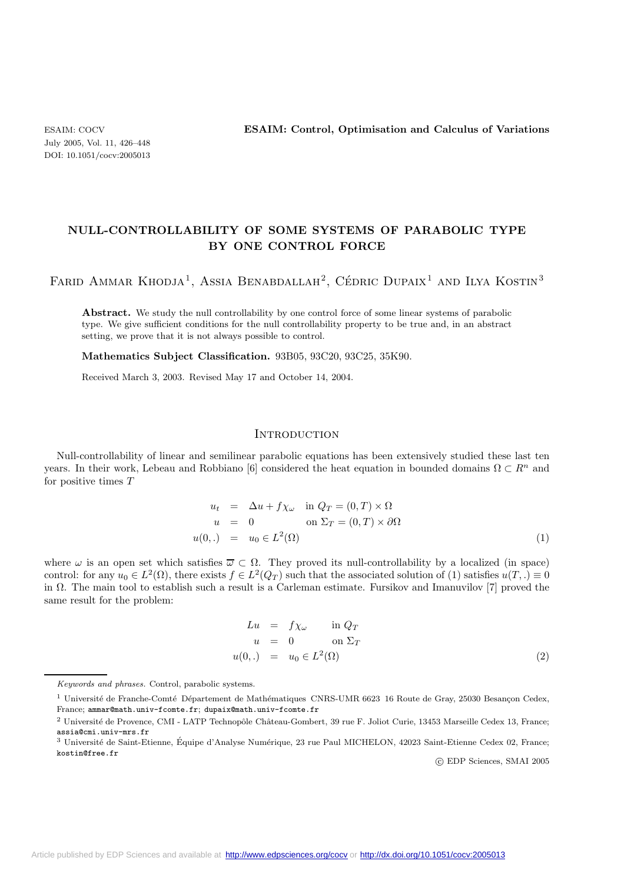July 2005, Vol. 11, 426–448 DOI: 10.1051/cocv:2005013

# **NULL-CONTROLLABILITY OF SOME SYSTEMS OF PARABOLIC TYPE BY ONE CONTROL FORCE**

FARID AMMAR KHODJA<sup>1</sup>, ASSIA BENABDALLAH<sup>2</sup>, CÉDRIC DUPAIX<sup>1</sup> AND ILYA KOSTIN<sup>3</sup>

Abstract. We study the null controllability by one control force of some linear systems of parabolic type. We give sufficient conditions for the null controllability property to be true and, in an abstract setting, we prove that it is not always possible to control.

**Mathematics Subject Classification.** 93B05, 93C20, 93C25, 35K90.

Received March 3, 2003. Revised May 17 and October 14, 2004.

## **INTRODUCTION**

Null-controllability of linear and semilinear parabolic equations has been extensively studied these last ten years. In their work, Lebeau and Robbiano [6] considered the heat equation in bounded domains  $\Omega \subset \mathbb{R}^n$  and for positive times T

$$
u_t = \Delta u + f \chi_\omega \quad \text{in } Q_T = (0, T) \times \Omega
$$
  
\n
$$
u = 0 \qquad \text{on } \Sigma_T = (0, T) \times \partial \Omega
$$
  
\n
$$
u(0,.) = u_0 \in L^2(\Omega)
$$
\n(1)

where  $\omega$  is an open set which satisfies  $\overline{\omega} \subset \Omega$ . They proved its null-controllability by a localized (in space) control: for any  $u_0 \in L^2(\Omega)$ , there exists  $f \in L^2(Q_T)$  such that the associated solution of (1) satisfies  $u(T,.) \equiv 0$ in  $\Omega$ . The main tool to establish such a result is a Carleman estimate. Fursikov and Imanuvilov [7] proved the same result for the problem:

$$
Lu = f\chi_{\omega} \quad \text{in } Q_T
$$
  
\n
$$
u = 0 \quad \text{on } \Sigma_T
$$
  
\n
$$
u(0,.) = u_0 \in L^2(\Omega)
$$
\n(2)

c EDP Sciences, SMAI 2005

Keywords and phrases. Control, parabolic systems.

<sup>&</sup>lt;sup>1</sup> Université de Franche-Comté Département de Mathématiques CNRS-UMR 6623 16 Route de Gray, 25030 Besançon Cedex, France; ammar@math.univ-fcomte.fr; dupaix@math.univ-fcomte.fr

 $2$  Université de Provence, CMI - LATP Technopôle Château-Gombert, 39 rue F. Joliot Curie, 13453 Marseille Cedex 13, France; assia@cmi.univ-mrs.fr

 $3$  Université de Saint-Etienne, Équipe d'Analyse Numérique, 23 rue Paul MICHELON, 42023 Saint-Etienne Cedex 02, France; kostin@free.fr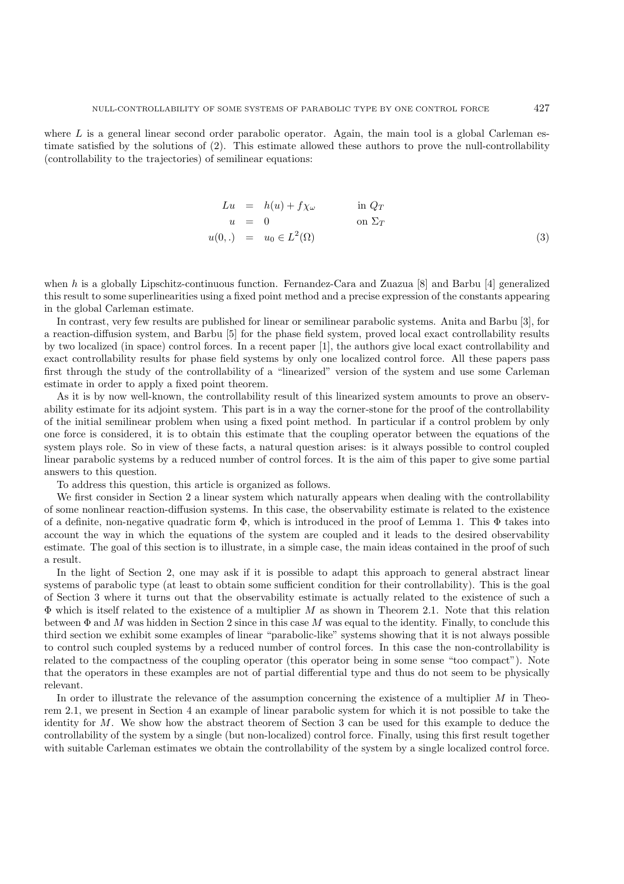where  $L$  is a general linear second order parabolic operator. Again, the main tool is a global Carleman estimate satisfied by the solutions of (2). This estimate allowed these authors to prove the null-controllability (controllability to the trajectories) of semilinear equations:

$$
Lu = h(u) + f\chi_{\omega} \qquad \text{in } Q_T
$$
  
\n
$$
u = 0 \qquad \text{on } \Sigma_T
$$
  
\n
$$
u(0,.) = u_0 \in L^2(\Omega)
$$
\n(3)

when  $h$  is a globally Lipschitz-continuous function. Fernandez-Cara and Zuazua [8] and Barbu [4] generalized this result to some superlinearities using a fixed point method and a precise expression of the constants appearing in the global Carleman estimate.

In contrast, very few results are published for linear or semilinear parabolic systems. Anita and Barbu [3], for a reaction-diffusion system, and Barbu [5] for the phase field system, proved local exact controllability results by two localized (in space) control forces. In a recent paper [1], the authors give local exact controllability and exact controllability results for phase field systems by only one localized control force. All these papers pass first through the study of the controllability of a "linearized" version of the system and use some Carleman estimate in order to apply a fixed point theorem.

As it is by now well-known, the controllability result of this linearized system amounts to prove an observability estimate for its adjoint system. This part is in a way the corner-stone for the proof of the controllability of the initial semilinear problem when using a fixed point method. In particular if a control problem by only one force is considered, it is to obtain this estimate that the coupling operator between the equations of the system plays role. So in view of these facts, a natural question arises: is it always possible to control coupled linear parabolic systems by a reduced number of control forces. It is the aim of this paper to give some partial answers to this question.

To address this question, this article is organized as follows.

We first consider in Section 2 a linear system which naturally appears when dealing with the controllability of some nonlinear reaction-diffusion systems. In this case, the observability estimate is related to the existence of a definite, non-negative quadratic form Φ, which is introduced in the proof of Lemma 1. This Φ takes into account the way in which the equations of the system are coupled and it leads to the desired observability estimate. The goal of this section is to illustrate, in a simple case, the main ideas contained in the proof of such a result.

In the light of Section 2, one may ask if it is possible to adapt this approach to general abstract linear systems of parabolic type (at least to obtain some sufficient condition for their controllability). This is the goal of Section 3 where it turns out that the observability estimate is actually related to the existence of such a  $\Phi$  which is itself related to the existence of a multiplier M as shown in Theorem 2.1. Note that this relation between  $\Phi$  and M was hidden in Section 2 since in this case M was equal to the identity. Finally, to conclude this third section we exhibit some examples of linear "parabolic-like" systems showing that it is not always possible to control such coupled systems by a reduced number of control forces. In this case the non-controllability is related to the compactness of the coupling operator (this operator being in some sense "too compact"). Note that the operators in these examples are not of partial differential type and thus do not seem to be physically relevant.

In order to illustrate the relevance of the assumption concerning the existence of a multiplier  $M$  in Theorem 2.1, we present in Section 4 an example of linear parabolic system for which it is not possible to take the identity for M. We show how the abstract theorem of Section 3 can be used for this example to deduce the controllability of the system by a single (but non-localized) control force. Finally, using this first result together with suitable Carleman estimates we obtain the controllability of the system by a single localized control force.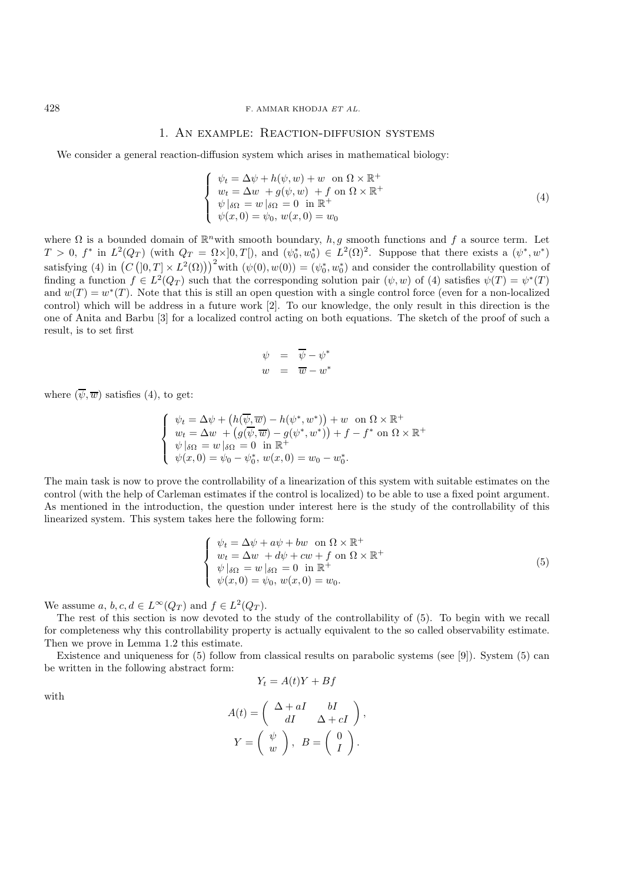#### 428 F. AMMAR KHODJA *ET AL.*

#### 1. An example: Reaction-diffusion systems

We consider a general reaction-diffusion system which arises in mathematical biology:

$$
\begin{cases}\n\psi_t = \Delta \psi + h(\psi, w) + w \text{ on } \Omega \times \mathbb{R}^+ \\
w_t = \Delta w + g(\psi, w) + f \text{ on } \Omega \times \mathbb{R}^+ \\
\psi|_{\delta\Omega} = w|_{\delta\Omega} = 0 \text{ in } \mathbb{R}^+ \\
\psi(x, 0) = \psi_0, w(x, 0) = w_0\n\end{cases}
$$
\n(4)

where  $\Omega$  is a bounded domain of  $\mathbb{R}^n$  with smooth boundary,  $h, g$  smooth functions and f a source term. Let  $T > 0$ ,  $f^*$  in  $L^2(Q_T)$  (with  $Q_T = \Omega \times ]0, T[$ ), and  $(\psi_0^*, w_0^*) \in L^2(\Omega)^2$ . Suppose that there exists a  $(\psi^*, w^*)$ satisfying (4) in  $(C([0,T] \times L^2(\Omega)))^2$  with  $(\psi(0), w(0)) = (\psi_0^*, w_0^*)$  and consider the controllability question of finding a function  $f \in L^2(Q_T)$  such that the corresponding solution pair  $(\psi, w)$  of (4) satisfies  $\psi(T) = \psi^*(T)$ and  $w(T) = w^*(T)$ . Note that this is still an open question with a single control force (even for a non-localized control) which will be address in a future work [2]. To our knowledge, the only result in this direction is the one of Anita and Barbu [3] for a localized control acting on both equations. The sketch of the proof of such a result, is to set first

$$
\begin{array}{rcl}\n\psi & = & \overline{\psi} - \psi^* \\
w & = & \overline{w} - w^*\n\end{array}
$$

where  $(\overline{\psi}, \overline{w})$  satisfies (4), to get:

$$
\begin{cases}\n\psi_t = \Delta \psi + (h(\overline{\psi}, \overline{w}) - h(\psi^*, w^*)) + w \text{ on } \Omega \times \mathbb{R}^+ \\
w_t = \Delta w + (g(\overline{\psi}, \overline{w}) - g(\psi^*, w^*)) + f - f^* \text{ on } \Omega \times \mathbb{R}^+ \\
\psi|_{\delta\Omega} = w|_{\delta\Omega} = 0 \text{ in } \mathbb{R}^+ \\
\psi(x, 0) = \psi_0 - \psi_0^*, w(x, 0) = w_0 - w_0^*.\n\end{cases}
$$

The main task is now to prove the controllability of a linearization of this system with suitable estimates on the control (with the help of Carleman estimates if the control is localized) to be able to use a fixed point argument. As mentioned in the introduction, the question under interest here is the study of the controllability of this linearized system. This system takes here the following form:

$$
\begin{cases}\n\psi_t = \Delta \psi + a\psi + bw \quad \text{on} \quad \Omega \times \mathbb{R}^+ \\
w_t = \Delta w + d\psi + cw + f \quad \text{on} \quad \Omega \times \mathbb{R}^+ \\
\psi|_{\delta\Omega} = w|_{\delta\Omega} = 0 \quad \text{in} \quad \mathbb{R}^+ \\
\psi(x, 0) = \psi_0, \ w(x, 0) = w_0.\n\end{cases}
$$
\n(5)

We assume a,  $b, c, d \in L^{\infty}(Q_T)$  and  $f \in L^2(Q_T)$ .

The rest of this section is now devoted to the study of the controllability of (5). To begin with we recall for completeness why this controllability property is actually equivalent to the so called observability estimate. Then we prove in Lemma 1.2 this estimate.

Existence and uniqueness for (5) follow from classical results on parabolic systems (see [9]). System (5) can be written in the following abstract form:

$$
Y_t = A(t)Y + Bf
$$

with

$$
A(t) = \begin{pmatrix} \Delta + aI & bI \\ dI & \Delta + cI \end{pmatrix},
$$

$$
Y = \begin{pmatrix} \psi \\ w \end{pmatrix}, B = \begin{pmatrix} 0 \\ I \end{pmatrix}.
$$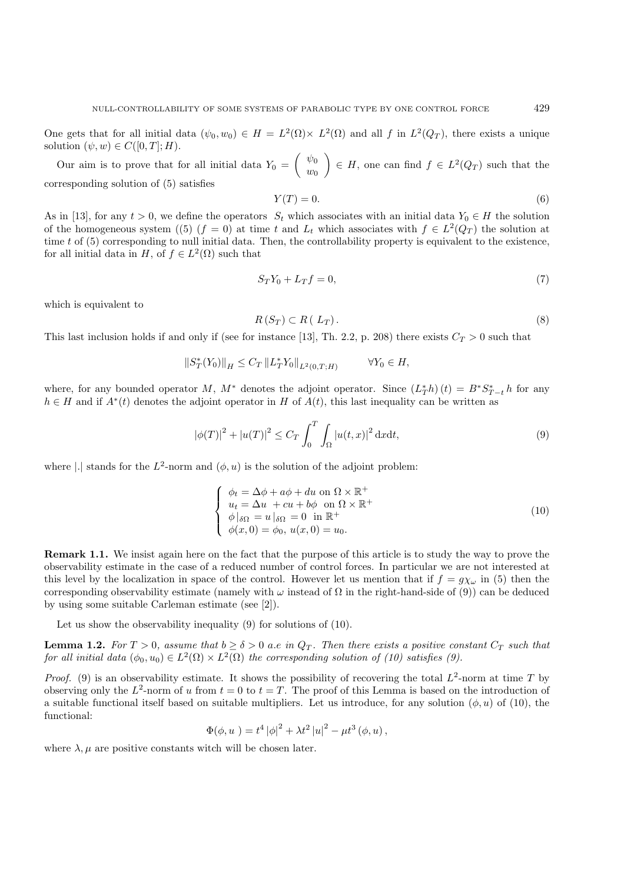One gets that for all initial data  $(\psi_0, w_0) \in H = L^2(\Omega) \times L^2(\Omega)$  and all f in  $L^2(Q_T)$ , there exists a unique solution  $(\psi, w) \in C([0, T]; H)$ .

Our aim is to prove that for all initial data  $Y_0 = \begin{pmatrix} \psi_0 \\ \psi_0 \end{pmatrix}$  $w_0$  $\Big\} \in H$ , one can find  $f \in L^2(Q_T)$  such that the corresponding solution of (5) satisfies

$$
Y(T) = 0.\t\t(6)
$$

As in [13], for any  $t > 0$ , we define the operators  $S_t$  which associates with an initial data  $Y_0 \in H$  the solution of the homogeneous system ((5) (f = 0) at time t and  $L_t$  which associates with  $f \in L^2(Q_T)$  the solution at time  $t$  of  $(5)$  corresponding to null initial data. Then, the controllability property is equivalent to the existence, for all initial data in H, of  $f \in L^2(\Omega)$  such that

$$
S_T Y_0 + L_T f = 0,\t\t(7)
$$

which is equivalent to

$$
R(S_T) \subset R(L_T). \tag{8}
$$

This last inclusion holds if and only if (see for instance [13], Th. 2.2, p. 208) there exists  $C_T > 0$  such that

$$
||S_T^*(Y_0)||_H \le C_T ||L_T^*Y_0||_{L^2(0,T;H)} \qquad \forall Y_0 \in H,
$$

where, for any bounded operator  $M$ ,  $M^*$  denotes the adjoint operator. Since  $(L_T^*h)(t) = B^*S_{T-t}^*h$  for any  $h \in H$  and if  $A^*(t)$  denotes the adjoint operator in H of  $A(t)$ , this last inequality can be written as

$$
|\phi(T)|^2 + |u(T)|^2 \le C_T \int_0^T \int_{\Omega} |u(t,x)|^2 \, \mathrm{d}x \mathrm{d}t,\tag{9}
$$

where |.| stands for the  $L^2$ -norm and  $(\phi, u)$  is the solution of the adjoint problem:

$$
\begin{cases}\n\phi_t = \Delta \phi + a\phi + du \text{ on } \Omega \times \mathbb{R}^+ \\
u_t = \Delta u + cu + b\phi \text{ on } \Omega \times \mathbb{R}^+ \\
\phi|_{\delta\Omega} = u|_{\delta\Omega} = 0 \text{ in } \mathbb{R}^+ \\
\phi(x, 0) = \phi_0, u(x, 0) = u_0.\n\end{cases}
$$
\n(10)

**Remark 1.1.** We insist again here on the fact that the purpose of this article is to study the way to prove the observability estimate in the case of a reduced number of control forces. In particular we are not interested at this level by the localization in space of the control. However let us mention that if  $f = g\chi_\omega$  in (5) then the corresponding observability estimate (namely with  $\omega$  instead of  $\Omega$  in the right-hand-side of (9)) can be deduced by using some suitable Carleman estimate (see [2]).

Let us show the observability inequality (9) for solutions of (10).

**Lemma 1.2.** For  $T > 0$ , assume that  $b \ge \delta > 0$  a.e in  $Q_T$ . Then there exists a positive constant  $C_T$  such that *for all initial data*  $(\phi_0, u_0) \in L^2(\Omega) \times L^2(\Omega)$  *the corresponding solution of (10) satisfies (9).* 

*Proof.* (9) is an observability estimate. It shows the possibility of recovering the total  $L^2$ -norm at time T by observing only the  $L^2$ -norm of u from  $t = 0$  to  $t = T$ . The proof of this Lemma is based on the introduction of a suitable functional itself based on suitable multipliers. Let us introduce, for any solution  $(\phi, u)$  of (10), the functional:

$$
\Phi(\phi, u\ ) = t^4 |\phi|^2 + \lambda t^2 |u|^2 - \mu t^3 (\phi, u)\,,
$$

where  $\lambda, \mu$  are positive constants witch will be chosen later.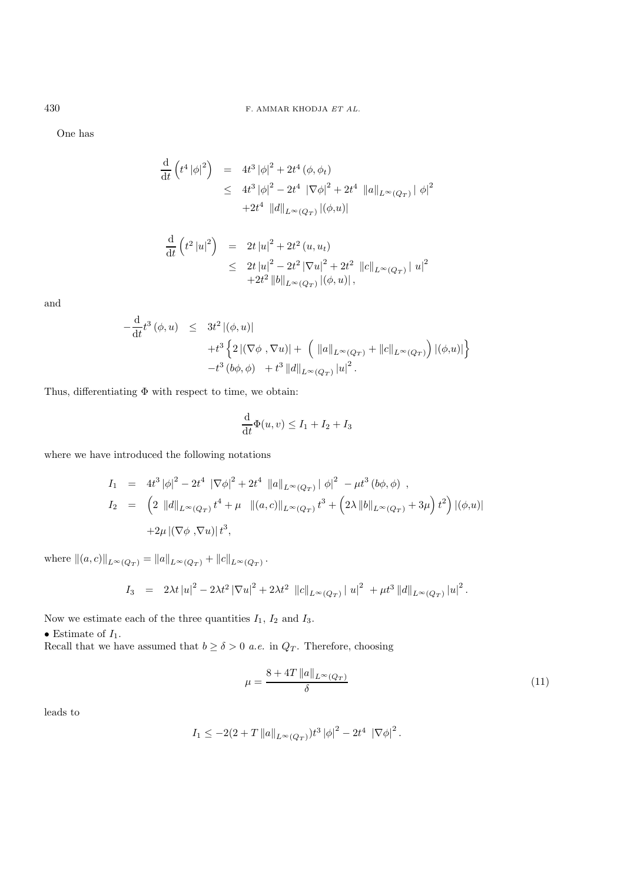One has

$$
\frac{d}{dt} \left( t^4 |\phi|^2 \right) = 4t^3 |\phi|^2 + 2t^4 (\phi, \phi_t)
$$
\n
$$
\leq 4t^3 |\phi|^2 - 2t^4 |\nabla \phi|^2 + 2t^4 |\|a\|_{L^\infty(Q_T)} |\phi|^2
$$
\n
$$
+ 2t^4 |\|d\|_{L^\infty(Q_T)} |(\phi, u)|
$$

$$
\frac{\mathrm{d}}{\mathrm{d}t} \left( t^2 |u|^2 \right) = 2t |u|^2 + 2t^2 (u, u_t)
$$
\n
$$
\leq 2t |u|^2 - 2t^2 |\nabla u|^2 + 2t^2 ||c||_{L^{\infty}(Q_T)} |u|^2
$$
\n
$$
+ 2t^2 ||b||_{L^{\infty}(Q_T)} |(\phi, u)|,
$$

and

$$
-\frac{d}{dt}t^3(\phi, u) \leq 3t^2 |(\phi, u)|
$$
  
+ $t^3 \left\{ 2 |(\nabla \phi, \nabla u)| + (\|a\|_{L^\infty(Q_T)} + \|c\|_{L^\infty(Q_T)}) |(\phi, u)| \right\}$   
- $t^3 (\phi, \phi) + t^3 \|d\|_{L^\infty(Q_T)} |u|^2.$ 

Thus, differentiating  $\Phi$  with respect to time, we obtain:

$$
\frac{\mathrm{d}}{\mathrm{d}t}\Phi(u,v) \le I_1 + I_2 + I_3
$$

where we have introduced the following notations

$$
I_1 = 4t^3 |\phi|^2 - 2t^4 |\nabla \phi|^2 + 2t^4 ||a||_{L^{\infty}(Q_T)} |\phi|^2 - \mu t^3 (b\phi, \phi) ,
$$
  
\n
$$
I_2 = \left( 2 ||d||_{L^{\infty}(Q_T)} t^4 + \mu ||(a, c)||_{L^{\infty}(Q_T)} t^3 + \left( 2\lambda ||b||_{L^{\infty}(Q_T)} + 3\mu \right) t^2 \right) |(\phi, u)|
$$
  
\n
$$
+ 2\mu |(\nabla \phi, \nabla u)| t^3,
$$

where  $||(a, c)||_{L^{\infty}(Q_T)} = ||a||_{L^{\infty}(Q_T)} + ||c||_{L^{\infty}(Q_T)}$ .

$$
I_3 = 2\lambda t |u|^2 - 2\lambda t^2 |\nabla u|^2 + 2\lambda t^2 ||c||_{L^{\infty}(Q_T)} ||u|^2 + \mu t^3 ||d||_{L^{\infty}(Q_T)} ||u|^2.
$$

Now we estimate each of the three quantities  $I_1$ ,  $I_2$  and  $I_3$ .

 $\bullet$  Estimate of  $I_1.$ 

Recall that we have assumed that  $b \geq \delta > 0$  *a.e.* in  $Q_T$ . Therefore, choosing

$$
\mu = \frac{8 + 4T \left\| a \right\|_{L^{\infty}(Q_T)}}{\delta} \tag{11}
$$

leads to

$$
I_1 \leq -2(2+T\|a\|_{L^{\infty}(Q_T)})t^3\left|\phi\right|^2 - 2t^4\|\nabla\phi\|^2.
$$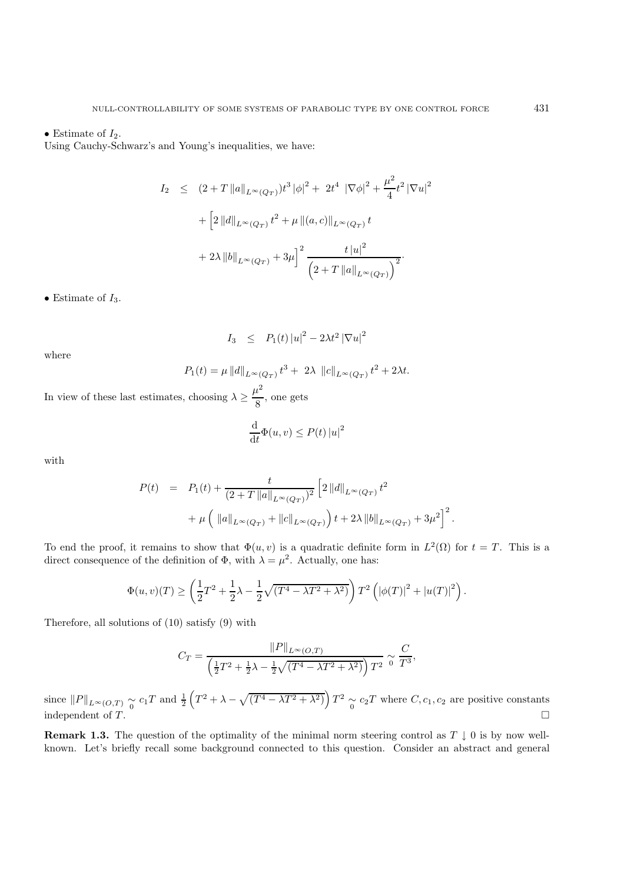#### • Estimate of  $I_2$ .

Using Cauchy-Schwarz's and Young's inequalities, we have:

$$
I_2 \le (2+T \|a\|_{L^{\infty}(Q_T)}) t^3 |\phi|^2 + 2t^4 |\nabla \phi|^2 + \frac{\mu^2}{4} t^2 |\nabla u|^2
$$
  
+ 
$$
\left[2 \|d\|_{L^{\infty}(Q_T)} t^2 + \mu \| (a, c) \|_{L^{\infty}(Q_T)} t
$$
  
+ 
$$
2\lambda \|b\|_{L^{\infty}(Q_T)} + 3\mu \right]^2 \frac{t |u|^2}{\left(2+T \|a\|_{L^{\infty}(Q_T)}\right)^2}.
$$

• Estimate of  $I_3$ .

$$
I_3 \quad \leq \quad P_1(t) \left| u \right|^2 - 2 \lambda t^2 \left| \nabla u \right|^2
$$

where

$$
P_1(t) = \mu ||d||_{L^{\infty}(Q_T)} t^3 + 2\lambda ||c||_{L^{\infty}(Q_T)} t^2 + 2\lambda t.
$$

In view of these last estimates, choosing  $\lambda \geq \frac{\mu^2}{8}$ , one gets

$$
\frac{\mathrm{d}}{\mathrm{d}t}\Phi(u,v) \le P(t) \left|u\right|^2
$$

with

$$
P(t) = P_1(t) + \frac{t}{(2+T||a||_{L^{\infty}(Q_T)})^2} \left[ 2||d||_{L^{\infty}(Q_T)} t^2 + \mu \left( ||a||_{L^{\infty}(Q_T)} + ||c||_{L^{\infty}(Q_T)} \right) t + 2\lambda ||b||_{L^{\infty}(Q_T)} + 3\mu^2 \right]^2.
$$

To end the proof, it remains to show that  $\Phi(u, v)$  is a quadratic definite form in  $L^2(\Omega)$  for  $t = T$ . This is a direct consequence of the definition of  $\Phi$ , with  $\lambda = \mu^2$ . Actually, one has:

$$
\Phi(u,v)(T) \ge \left(\frac{1}{2}T^2 + \frac{1}{2}\lambda - \frac{1}{2}\sqrt{(T^4 - \lambda T^2 + \lambda^2)}\right)T^2\left(|\phi(T)|^2 + |u(T)|^2\right).
$$

Therefore, all solutions of (10) satisfy (9) with

$$
C_T = \frac{\|P\|_{L^{\infty}(O,T)}}{\left(\frac{1}{2}T^2 + \frac{1}{2}\lambda - \frac{1}{2}\sqrt{(T^4 - \lambda T^2 + \lambda^2)}\right)T^2} \approx \frac{C}{T^3},
$$

since  $||P||_{L^{\infty}(O,T)} \underset{0}{\sim} c_1T$  and  $\frac{1}{2}\left(T^2 + \lambda - \sqrt{(T^4 - \lambda T^2 + \lambda^2)}\right)T^2 \underset{0}{\sim} c_2T$  where  $C, c_1, c_2$  are positive constants independent of  $T$ .

**Remark 1.3.** The question of the optimality of the minimal norm steering control as  $T \downarrow 0$  is by now wellknown. Let's briefly recall some background connected to this question. Consider an abstract and general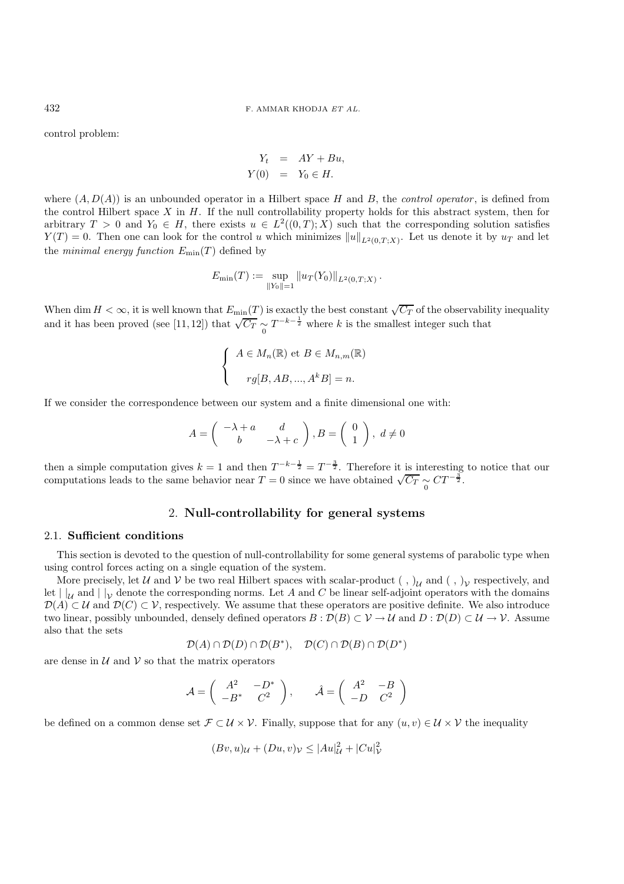control problem:

$$
Y_t = AY + Bu,
$$
  
\n
$$
Y(0) = Y_0 \in H.
$$

where  $(A, D(A))$  is an unbounded operator in a Hilbert space H and B, the *control operator*, is defined from the control Hilbert space  $X$  in  $H$ . If the null controllability property holds for this abstract system, then for arbitrary  $T > 0$  and  $Y_0 \in H$ , there exists  $u \in L^2((0,T);X)$  such that the corresponding solution satisfies  $Y(T) = 0$ . Then one can look for the control u which minimizes  $||u||_{L^2(0,T;X)}$ . Let us denote it by  $u_T$  and let the *minimal energy function*  $E_{\text{min}}(T)$  defined by

$$
E_{\min}(T) := \sup_{\|Y_0\|=1} \|u_T(Y_0)\|_{L^2(0,T;X)}.
$$

When dim  $H < \infty$ , it is well known that  $E_{\min}(T)$  is exactly the best constant  $\sqrt{C_T}$  of the observability inequality and it has been proved (see [11, 12]) that  $\sqrt{C_T} \sim T^{-k-\frac{1}{2}}$  where k is the smallest integer such that

$$
\begin{cases}\nA \in M_n(\mathbb{R}) \text{ et } B \in M_{n,m}(\mathbb{R}) \\
r g[B, AB, ..., A^k B] = n.\n\end{cases}
$$

If we consider the correspondence between our system and a finite dimensional one with:

$$
A = \begin{pmatrix} -\lambda + a & d \\ b & -\lambda + c \end{pmatrix}, B = \begin{pmatrix} 0 \\ 1 \end{pmatrix}, d \neq 0
$$

then a simple computation gives  $k = 1$  and then  $T^{-k-\frac{1}{2}} = T^{-\frac{3}{2}}$ . Therefore it is interesting to notice that our computations leads to the same behavior near  $T = 0$  since we have obtained  $\sqrt{C_T} \sim C T^{-\frac{3}{2}}$ .

## 2. **Null-controllability for general systems**

#### 2.1. **Sufficient conditions**

This section is devoted to the question of null-controllability for some general systems of parabolic type when using control forces acting on a single equation of the system.

More precisely, let U and V be two real Hilbert spaces with scalar-product  $( , )_{\mathcal{U}}$  and  $( , )_{\mathcal{V}}$  respectively, and let  $||_U$  and  $||_V$  denote the corresponding norms. Let A and C be linear self-adjoint operators with the domains  $\mathcal{D}(A) \subset \mathcal{U}$  and  $\mathcal{D}(C) \subset \mathcal{V}$ , respectively. We assume that these operators are positive definite. We also introduce two linear, possibly unbounded, densely defined operators  $B : \mathcal{D}(B) \subset \mathcal{V} \to \mathcal{U}$  and  $D : \mathcal{D}(D) \subset \mathcal{U} \to \mathcal{V}$ . Assume also that the sets

$$
\mathcal{D}(A) \cap \mathcal{D}(D) \cap \mathcal{D}(B^*), \quad \mathcal{D}(C) \cap \mathcal{D}(B) \cap \mathcal{D}(D^*)
$$

are dense in  $\mathcal U$  and  $\mathcal V$  so that the matrix operators

$$
\mathcal{A} = \begin{pmatrix} A^2 & -D^* \\ -B^* & C^2 \end{pmatrix}, \qquad \hat{\mathcal{A}} = \begin{pmatrix} A^2 & -B \\ -D & C^2 \end{pmatrix}
$$

be defined on a common dense set  $\mathcal{F} \subset \mathcal{U} \times \mathcal{V}$ . Finally, suppose that for any  $(u, v) \in \mathcal{U} \times \mathcal{V}$  the inequality

$$
(Bv, u)u + (Du, v)v \le |Au|_U^2 + |Cu|_V^2
$$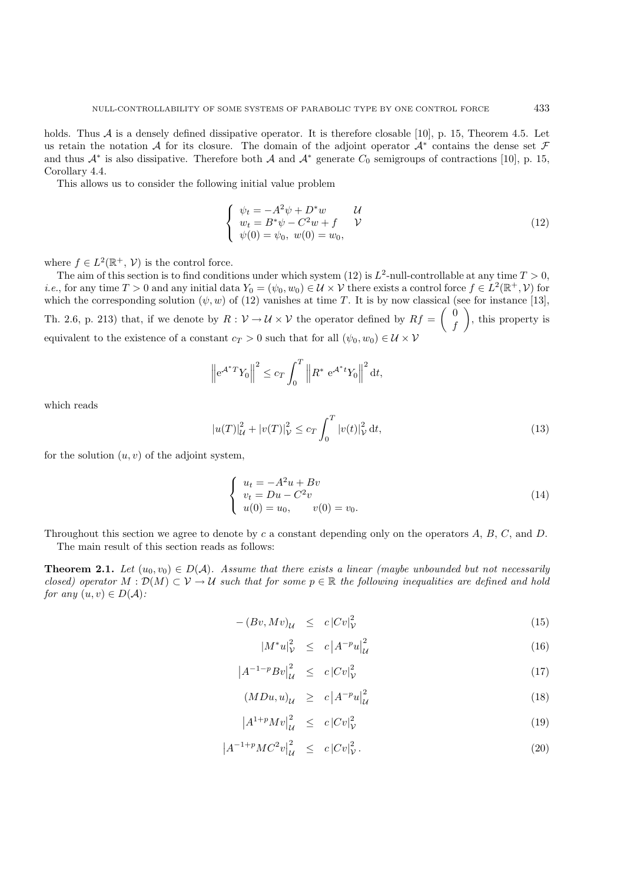holds. Thus  $A$  is a densely defined dissipative operator. It is therefore closable [10], p. 15, Theorem 4.5. Let us retain the notation A for its closure. The domain of the adjoint operator  $A^*$  contains the dense set  $\mathcal F$ and thus  $A^*$  is also dissipative. Therefore both A and  $A^*$  generate  $C_0$  semigroups of contractions [10], p. 15, Corollary 4.4.

This allows us to consider the following initial value problem

$$
\begin{cases}\n\psi_t = -A^2 \psi + D^* w & \mathcal{U} \\
w_t = B^* \psi - C^2 w + f & \mathcal{V} \\
\psi(0) = \psi_0, \ w(0) = w_0,\n\end{cases}
$$
\n(12)

where  $f \in L^2(\mathbb{R}^+, \mathcal{V})$  is the control force.

The aim of this section is to find conditions under which system (12) is  $L^2$ -null-controllable at any time  $T > 0$ , *i.e.*, for any time  $T > 0$  and any initial data  $Y_0 = (\psi_0, \psi_0) \in \mathcal{U} \times \mathcal{V}$  there exists a control force  $f \in L^2(\mathbb{R}^+, \mathcal{V})$  for which the corresponding solution  $(\psi, w)$  of (12) vanishes at time T. It is by now classical (see for instance [13], Th. 2.6, p. 213) that, if we denote by  $R: V \to U \times V$  the operator defined by  $Rf = \begin{pmatrix} 0 & 0 \\ 0 & 0 \end{pmatrix}$ f , this property is equivalent to the existence of a constant  $c_T > 0$  such that for all  $(\psi_0, w_0) \in \mathcal{U} \times \mathcal{V}$ 

$$
\left\| e^{\mathcal{A}^*T} Y_0 \right\|^2 \le c_T \int_0^T \left\| R^* e^{\mathcal{A}^*t} Y_0 \right\|^2 dt,
$$

which reads

$$
|u(T)|_{\mathcal{U}}^2 + |v(T)|_{\mathcal{V}}^2 \le c_T \int_0^T |v(t)|_{\mathcal{V}}^2 dt,
$$
\n(13)

for the solution  $(u, v)$  of the adjoint system,

$$
\begin{cases}\n u_t = -A^2 u + Bv \\
 v_t = Du - C^2 v \\
 u(0) = u_0, \qquad v(0) = v_0.\n\end{cases}
$$
\n(14)

Throughout this section we agree to denote by c a constant depending only on the operators  $A, B, C$ , and  $D$ . The main result of this section reads as follows:

**Theorem 2.1.** *Let*  $(u_0, v_0) \in D(\mathcal{A})$ *. Assume that there exists a linear (maybe unbounded but not necessarily closed) operator*  $M : \mathcal{D}(M) \subset \mathcal{V} \to \mathcal{U}$  *such that for some*  $p \in \mathbb{R}$  *the following inequalities are defined and hold for any*  $(u, v) \in D(A)$ *:* 

$$
-(Bv, Mv)\mathcal{U} \le c |Cv|\mathcal{V}2
$$
 (15)

$$
|M^*u|_{\mathcal{V}}^2 \le c \left|A^{-p}u\right|_{\mathcal{U}}^2 \tag{16}
$$

$$
\left| A^{-1-p} B v \right|_{\mathcal{U}}^2 \leq c \left| C v \right|_{\mathcal{V}}^2 \tag{17}
$$

$$
(MDu, u)_{\mathcal{U}} \ge c \left| A^{-p} u \right|_{\mathcal{U}}^2 \tag{18}
$$

$$
\left|A^{1+p}Mv\right|_{\mathcal{U}}^2 \le c\left|Cv\right|_{\mathcal{V}}^2 \tag{19}
$$

$$
\left| A^{-1+p} M C^2 v \right|_{\mathcal{U}}^2 \leq c \left| C v \right|_{\mathcal{V}}^2. \tag{20}
$$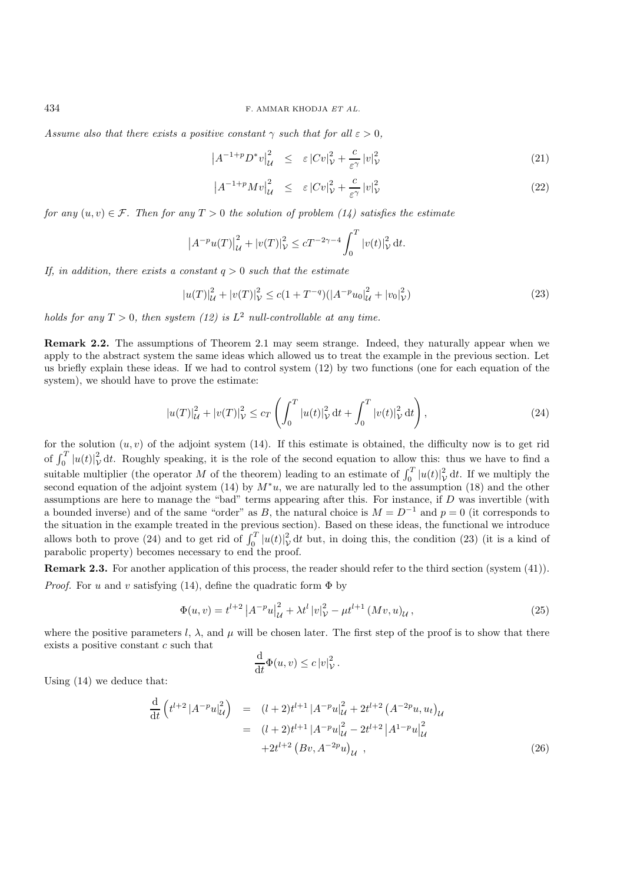*Assume also that there exists a positive constant*  $\gamma$  *such that for all*  $\varepsilon > 0$ *,* 

$$
\left| A^{-1+p} D^* v \right|_{\mathcal{U}}^2 \leq \varepsilon \left| C v \right|_{\mathcal{V}}^2 + \frac{c}{\varepsilon^{\gamma}} \left| v \right|_{\mathcal{V}}^2 \tag{21}
$$

$$
\left| A^{-1+p} M v \right|_{\mathcal{U}}^2 \leq \varepsilon \left| C v \right|_{\mathcal{V}}^2 + \frac{c}{\varepsilon^{\gamma}} \left| v \right|_{\mathcal{V}}^2 \tag{22}
$$

*for any*  $(u, v) \in \mathcal{F}$ . Then for any  $T > 0$  the solution of problem (14) satisfies the estimate

$$
\left|A^{-p}u(T)\right|_{\mathcal{U}}^{2} + |v(T)|_{\mathcal{V}}^{2} \le cT^{-2\gamma - 4} \int_{0}^{T} |v(t)|_{\mathcal{V}}^{2} dt.
$$

*If, in addition, there exists a constant*  $q > 0$  *such that the estimate* 

$$
|u(T)|_{\mathcal{U}}^2 + |v(T)|_{\mathcal{V}}^2 \le c(1 + T^{-q})(|A^{-p}u_0|_{\mathcal{U}}^2 + |v_0|_{\mathcal{V}}^2)
$$
\n(23)

*holds for any*  $T > 0$ *, then system (12) is*  $L^2$  *null-controllable at any time.* 

**Remark 2.2.** The assumptions of Theorem 2.1 may seem strange. Indeed, they naturally appear when we apply to the abstract system the same ideas which allowed us to treat the example in the previous section. Let us briefly explain these ideas. If we had to control system (12) by two functions (one for each equation of the system), we should have to prove the estimate:

$$
|u(T)|_{\mathcal{U}}^{2} + |v(T)|_{\mathcal{V}}^{2} \leq c_{T} \left( \int_{0}^{T} |u(t)|_{\mathcal{V}}^{2} dt + \int_{0}^{T} |v(t)|_{\mathcal{V}}^{2} dt \right), \tag{24}
$$

for the solution  $(u, v)$  of the adjoint system (14). If this estimate is obtained, the difficulty now is to get rid of  $\int_0^T |u(t)|^2$ , dt. Roughly speaking, it is the role of the second equation to allow this: thus we have to find a suitable multiplier (the operator M of the theorem) leading to an estimate of  $\int_0^T |u(t)|_{\mathcal{V}}^2 dt$ . If we multiply the second equation of the adjoint system (14) by  $M^*u$ , we are naturally led to the assumption (18) an assumptions are here to manage the "bad" terms appearing after this. For instance, if D was invertible (with a bounded inverse) and of the same "order" as B, the natural choice is  $M = D^{-1}$  and  $p = 0$  (it corresponds to the situation in the example treated in the previous section). Based on these ideas, the functional we introduce allows both to prove (24) and to get rid of  $\int_0^T |u(t)|^2_{\mathcal{V}} dt$  but, in doing this, the condition (23) (it is a kind of parabolic property) becomes necessary to end the proof.

**Remark 2.3.** For another application of this process, the reader should refer to the third section (system (41)). *Proof.* For u and v satisfying (14), define the quadratic form  $\Phi$  by

$$
\Phi(u,v) = t^{l+2} \left| A^{-p} u \right|_{\mathcal{U}}^2 + \lambda t^l \left| v \right|_{\mathcal{V}}^2 - \mu t^{l+1} \left( Mv, u \right)_{\mathcal{U}}, \tag{25}
$$

where the positive parameters l,  $\lambda$ , and  $\mu$  will be chosen later. The first step of the proof is to show that there exists a positive constant c such that

$$
\frac{\mathrm{d}}{\mathrm{d}t}\Phi(u,v)\leq c\left|v\right|_{\mathcal{V}}^2.
$$

Using (14) we deduce that:

$$
\frac{\mathrm{d}}{\mathrm{d}t} \left( t^{l+2} \left| A^{-p} u \right|_{\mathcal{U}}^2 \right) = (l+2)t^{l+1} \left| A^{-p} u \right|_{\mathcal{U}}^2 + 2t^{l+2} \left( A^{-2p} u, u_t \right)_{\mathcal{U}} \n= (l+2)t^{l+1} \left| A^{-p} u \right|_{\mathcal{U}}^2 - 2t^{l+2} \left| A^{1-p} u \right|_{\mathcal{U}}^2 \n+ 2t^{l+2} \left( Bv, A^{-2p} u \right)_{\mathcal{U}} ,
$$
\n(26)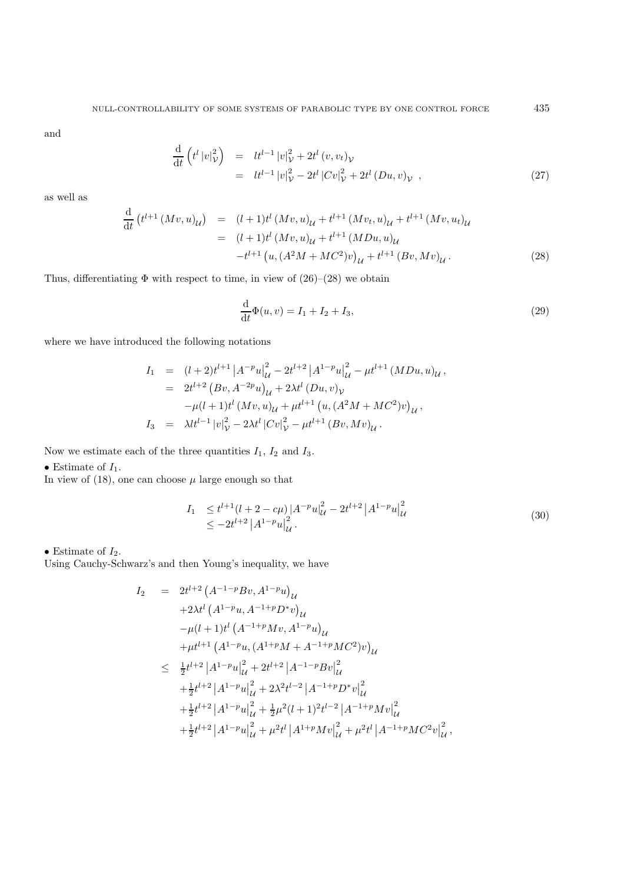and

$$
\frac{\mathrm{d}}{\mathrm{d}t} \left( t^{l} |v|_{\mathcal{V}}^{2} \right) = l t^{l-1} |v|_{\mathcal{V}}^{2} + 2t^{l} (v, v_{t})_{\mathcal{V}} \n= l t^{l-1} |v|_{\mathcal{V}}^{2} - 2t^{l} |Cv|_{\mathcal{V}}^{2} + 2t^{l} (Du, v)_{\mathcal{V}} ,
$$
\n(27)

as well as

$$
\frac{d}{dt} (t^{l+1} (Mv, u)_U) = (l+1)t^l (Mv, u)_U + t^{l+1} (Mv, u)_U + t^{l+1} (Mv, u_t)_U
$$
\n
$$
= (l+1)t^l (Mv, u)_U + t^{l+1} (MDu, u)_U
$$
\n
$$
-t^{l+1} (u, (A^2M + MC^2)v)_U + t^{l+1} (Bv, Mv)_U.
$$
\n(28)

Thus, differentiating  $\Phi$  with respect to time, in view of  $(26)-(28)$  we obtain

$$
\frac{d}{dt}\Phi(u,v) = I_1 + I_2 + I_3,
$$
\n(29)

where we have introduced the following notations

$$
I_1 = (l+2)t^{l+1} |A^{-p}u|_{\mathcal{U}}^2 - 2t^{l+2} |A^{1-p}u|_{\mathcal{U}}^2 - \mu t^{l+1} (MDu, u)_{\mathcal{U}},
$$
  
\n
$$
= 2t^{l+2} (Bv, A^{-2p}u)_{\mathcal{U}} + 2\lambda t^l (Du, v)_{\mathcal{V}}
$$
  
\n
$$
-\mu (l+1)t^l (Mv, u)_{\mathcal{U}} + \mu t^{l+1} (u, (A^2M + MC^2)v)_{\mathcal{U}},
$$
  
\n
$$
I_3 = \lambda l t^{l-1} |v|_{\mathcal{V}}^2 - 2\lambda t^l |Cv|_{\mathcal{V}}^2 - \mu t^{l+1} (Bv, Mv)_{\mathcal{U}}.
$$

Now we estimate each of the three quantities  $I_1$ ,  $I_2$  and  $I_3$ .

• Estimate of  $I_1$ .

In view of  $(18)$ , one can choose  $\mu$  large enough so that

$$
I_1 \leq t^{l+1} (l+2 - c\mu) |A^{-p}u|_{\mathcal{U}}^2 - 2t^{l+2} |A^{1-p}u|_{\mathcal{U}}^2
$$
  
 
$$
\leq -2t^{l+2} |A^{1-p}u|_{\mathcal{U}}^2.
$$
 (30)

## $\bullet$  Estimate of  $I_2.$

Using Cauchy-Schwarz's and then Young's inequality, we have

$$
I_2 = 2t^{l+2} (A^{-1-p}Bv, A^{1-p}u)_{\mathcal{U}}
$$
  
+2 $\lambda t^{l} (A^{1-p}u, A^{-1+p}D^*v)_{\mathcal{U}}$   
- $\mu(l+1)t^{l} (A^{-1+p}Mv, A^{1-p}u)_{\mathcal{U}}$   
+ $\mu t^{l+1} (A^{1-p}u, (A^{1+p}M + A^{-1+p}MC^2)v)_{\mathcal{U}}$   

$$
\leq \frac{1}{2}t^{l+2} |A^{1-p}u|_{\mathcal{U}}^2 + 2t^{l+2} |A^{-1-p}Bv|_{\mathcal{U}}^2
$$
  
+ $\frac{1}{2}t^{l+2} |A^{1-p}u|_{\mathcal{U}}^2 + 2\lambda^2 t^{l-2} |A^{-1+p}D^*v|_{\mathcal{U}}^2$   
+ $\frac{1}{2}t^{l+2} |A^{1-p}u|_{\mathcal{U}}^2 + \frac{1}{2}\mu^2(l+1)^2 t^{l-2} |A^{-1+p}Mv|_{\mathcal{U}}^2$   
+ $\frac{1}{2}t^{l+2} |A^{1-p}u|_{\mathcal{U}}^2 + \mu^2 t^{l} |A^{1+p}Mv|_{\mathcal{U}}^2 + \mu^2 t^{l} |A^{-1+p}MC^2v|_{\mathcal{U}}^2,$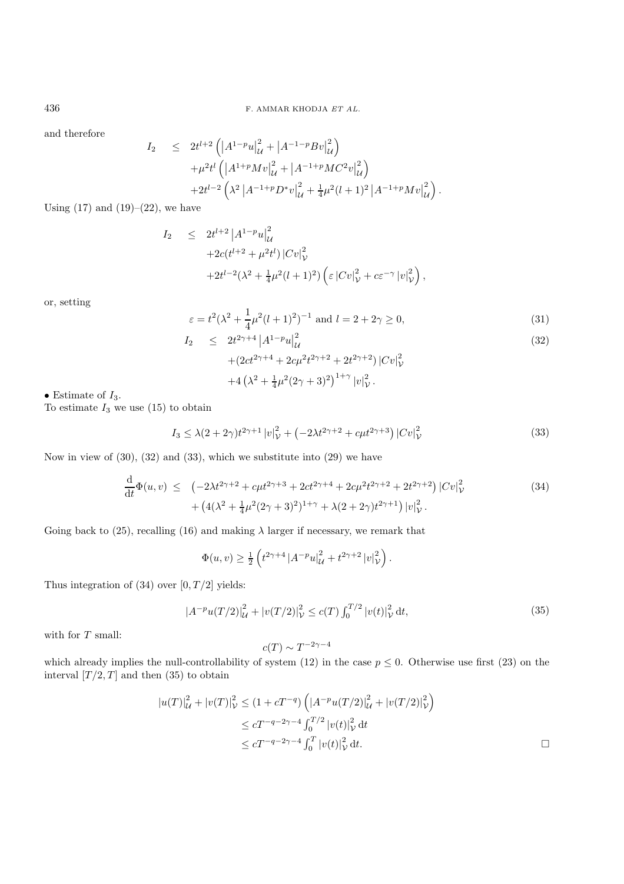and therefore

$$
I_2 \leq 2t^{l+2} \left( \left| A^{1-p} u \right|_{\mathcal{U}}^2 + \left| A^{-1-p} B v \right|_{\mathcal{U}}^2 \right) + \mu^2 t^l \left( \left| A^{1+p} M v \right|_{\mathcal{U}}^2 + \left| A^{-1+p} M C^2 v \right|_{\mathcal{U}}^2 \right) + 2t^{l-2} \left( \lambda^2 \left| A^{-1+p} D^* v \right|_{\mathcal{U}}^2 + \frac{1}{4} \mu^2 (l+1)^2 \left| A^{-1+p} M v \right|_{\mathcal{U}}^2 \right).
$$

Using  $(17)$  and  $(19)–(22)$ , we have

$$
I_2 \leq 2t^{l+2} |A^{1-p}u|_{{\mathcal U}}^2 +2c(t^{l+2} + \mu^2 t^l) |Cv|_{{\mathcal V}}^2 +2t^{l-2}(\lambda^2 + \frac{1}{4}\mu^2(l+1)^2) \left( \varepsilon |Cv|_{{\mathcal V}}^2 + c\varepsilon^{-\gamma} |v|_{{\mathcal V}}^2 \right),
$$

or, setting

$$
\varepsilon = t^2(\lambda^2 + \frac{1}{4}\mu^2(l+1)^2)^{-1} \text{ and } l = 2 + 2\gamma \ge 0,
$$
\n(31)

$$
I_2 \leq 2t^{2\gamma+4} |A^{1-p}u|_{\mathcal{U}}^2 + (2ct^{2\gamma+4} + 2c\mu^2 t^{2\gamma+2} + 2t^{2\gamma+2}) |Cv|_{\mathcal{V}}^2
$$
\n
$$
(32)
$$

V

$$
+4\left(\lambda^2+\tfrac{1}{4}\mu^2(2\gamma+3)^2\right)^{1+\gamma}|v|^2_{\mathcal{V}}.
$$

 $\bullet$  Estimate of  $I_3.$ 

To estimate  $I_3$  we use (15) to obtain

$$
I_3 \le \lambda (2 + 2\gamma)t^{2\gamma + 1} |v|_{\mathcal{V}}^2 + \left(-2\lambda t^{2\gamma + 2} + c\mu t^{2\gamma + 3}\right)|Cv|_{\mathcal{V}}^2 \tag{33}
$$

Now in view of (30), (32) and (33), which we substitute into (29) we have

$$
\frac{\mathrm{d}}{\mathrm{d}t}\Phi(u,v) \leq (-2\lambda t^{2\gamma+2} + c\mu t^{2\gamma+3} + 2ct^{2\gamma+4} + 2c\mu^{2}t^{2\gamma+2} + 2t^{2\gamma+2}) |Cv|_{\mathcal{V}}^{2} + (4(\lambda^{2} + \frac{1}{4}\mu^{2}(2\gamma+3)^{2})^{1+\gamma} + \lambda(2+2\gamma)t^{2\gamma+1}) |v|_{\mathcal{V}}^{2}.
$$
\n(34)

Going back to (25), recalling (16) and making  $\lambda$  larger if necessary, we remark that

$$
\Phi(u,v) \ge \frac{1}{2} \left( t^{2\gamma+4} \left| A^{-p} u \right|_{\mathcal{U}}^2 + t^{2\gamma+2} \left| v \right|_{\mathcal{V}}^2 \right).
$$

Thus integration of  $(34)$  over  $[0, T/2]$  yields:

$$
|A^{-p}u(T/2)|_{\mathcal{U}}^2 + |v(T/2)|_{\mathcal{V}}^2 \le c(T) \int_0^{T/2} |v(t)|_{\mathcal{V}}^2 dt,
$$
\n(35)

with for  $T$  small:  $\,$ 

$$
c(T) \sim T^{-2\gamma - 4}
$$

which already implies the null-controllability of system (12) in the case  $p \leq 0$ . Otherwise use first (23) on the interval  $[T/2, T]$  and then (35) to obtain

$$
|u(T)|_{\mathcal{U}}^{2} + |v(T)|_{\mathcal{V}}^{2} \leq (1 + cT^{-q}) \left( |A^{-p}u(T/2)|_{\mathcal{U}}^{2} + |v(T/2)|_{\mathcal{V}}^{2} \right)
$$
  

$$
\leq cT^{-q-2\gamma-4} \int_{0}^{T/2} |v(t)|_{\mathcal{V}}^{2} dt
$$
  

$$
\leq cT^{-q-2\gamma-4} \int_{0}^{T} |v(t)|_{\mathcal{V}}^{2} dt.
$$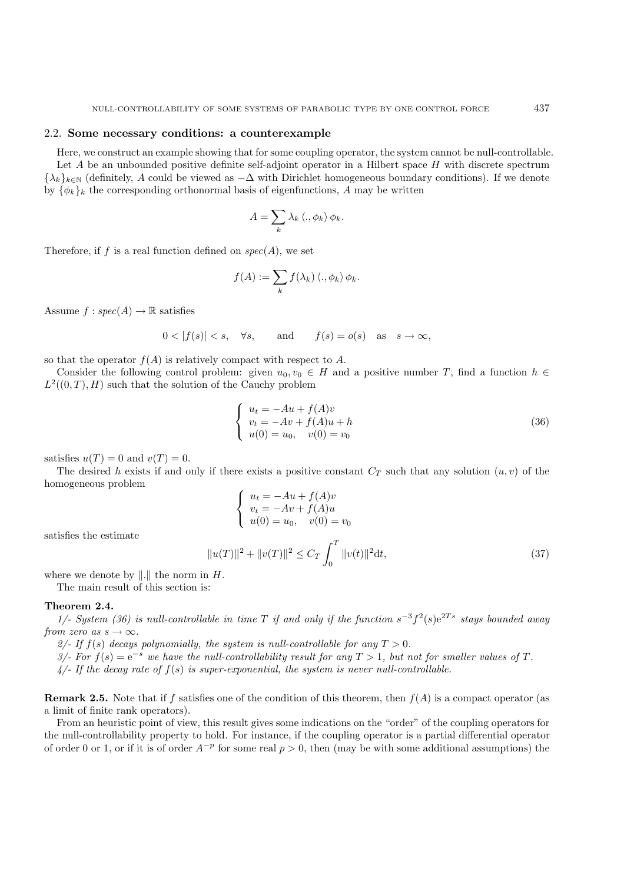## 2.2. **Some necessary conditions: a counterexample**

Here, we construct an example showing that for some coupling operator, the system cannot be null-controllable. Let  $A$  be an unbounded positive definite self-adjoint operator in a Hilbert space  $H$  with discrete spectrum  ${\lambda_k}_{k\in\mathbb{N}}$  (definitely, A could be viewed as  $-\Delta$  with Dirichlet homogeneous boundary conditions). If we denote by  $\{\phi_k\}_k$  the corresponding orthonormal basis of eigenfunctions, A may be written

$$
A = \sum_{k} \lambda_k \left\langle \cdot, \phi_k \right\rangle \phi_k.
$$

Therefore, if f is a real function defined on  $spec(A)$ , we set

$$
f(A) := \sum_{k} f(\lambda_k) \langle., \phi_k \rangle \phi_k.
$$

Assume  $f : spec(A) \rightarrow \mathbb{R}$  satisfies

$$
0 < |f(s)| < s, \quad \forall s, \quad \text{and} \quad f(s) = o(s) \quad \text{as} \quad s \to \infty,
$$

so that the operator  $f(A)$  is relatively compact with respect to A.

Consider the following control problem: given  $u_0, v_0 \in H$  and a positive number T, find a function  $h \in$  $L^2((0,T),H)$  such that the solution of the Cauchy problem

$$
\begin{cases}\n u_t = -Au + f(A)v \\
 v_t = -Av + f(A)u + h \\
 u(0) = u_0, \quad v(0) = v_0\n\end{cases}
$$
\n(36)

satisfies  $u(T) = 0$  and  $v(T) = 0$ .

The desired h exists if and only if there exists a positive constant  $C_T$  such that any solution  $(u, v)$  of the homogeneous problem

$$
\begin{cases}\n u_t = -Au + f(A)v \\
 v_t = -Av + f(A)u \\
 u(0) = u_0, \quad v(0) = v_0\n\end{cases}
$$

satisfies the estimate

$$
||u(T)||^2 + ||v(T)||^2 \le C_T \int_0^T ||v(t)||^2 dt,
$$
\n(37)

where we denote by  $\|.\|$  the norm in  $H$ .

The main result of this section is:

#### **Theorem 2.4.**

*1/- System (36) is null-controllable in time* T *if and only if the function*  $s^{-3}f^{2}(s)e^{2Ts}$  *stays bounded away from zero as*  $s \to \infty$ *.* 

2/- If  $f(s)$  decays polynomially, the system is null-controllable for any  $T > 0$ .

*3/-* For  $f(s) = e^{-s}$  we have the null-controllability result for any  $T > 1$ , but not for smaller values of T.

*4/- If the decay rate of* f(s) *is super-exponential, the system is never null-controllable.*

**Remark 2.5.** Note that if f satisfies one of the condition of this theorem, then  $f(A)$  is a compact operator (as a limit of finite rank operators).

From an heuristic point of view, this result gives some indications on the "order" of the coupling operators for the null-controllability property to hold. For instance, if the coupling operator is a partial differential operator of order 0 or 1, or if it is of order  $A^{-p}$  for some real  $p > 0$ , then (may be with some additional assumptions) the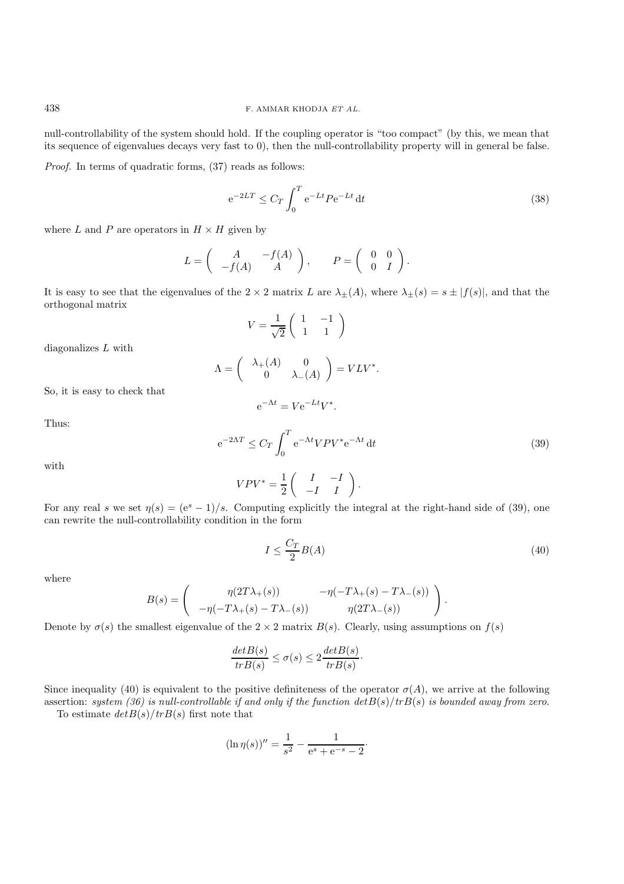null-controllability of the system should hold. If the coupling operator is "too compact" (by this, we mean that its sequence of eigenvalues decays very fast to 0), then the null-controllability property will in general be false.

*Proof.* In terms of quadratic forms,  $(37)$  reads as follows:

$$
e^{-2LT} \leq C_T \int_0^T e^{-Lt} P e^{-Lt} dt
$$
\n(38)

where L and P are operators in  $H \times H$  given by

$$
L = \begin{pmatrix} A & -f(A) \\ -f(A) & A \end{pmatrix}, \qquad P = \begin{pmatrix} 0 & 0 \\ 0 & I \end{pmatrix}.
$$

It is easy to see that the eigenvalues of the  $2 \times 2$  matrix L are  $\lambda_{\pm}(A)$ , where  $\lambda_{\pm}(s) = s \pm |f(s)|$ , and that the orthogonal matrix

$$
V = \frac{1}{\sqrt{2}} \begin{pmatrix} 1 & -1 \\ 1 & 1 \end{pmatrix}
$$

diagonalizes L with

$$
\Lambda = \begin{pmatrix} \lambda_+(A) & 0 \\ 0 & \lambda_-(A) \end{pmatrix} = VLV^*.
$$

So, it is easy to check that

$$
e^{-\Lambda t} = V e^{-Lt} V^*.
$$

Thus:

$$
e^{-2\Lambda T} \le C_T \int_0^T e^{-\Lambda t} V P V^* e^{-\Lambda t} dt \tag{39}
$$

with

$$
VPV^* = \frac{1}{2} \begin{pmatrix} I & -I \\ -I & I \end{pmatrix}.
$$

For any real s we set  $\eta(s) = (e^s - 1)/s$ . Computing explicitly the integral at the right-hand side of (39), one can rewrite the null-controllability condition in the form

$$
I \le \frac{C_T}{2} B(A) \tag{40}
$$

.

where

$$
B(s) = \begin{pmatrix} \eta(2T\lambda_+(s)) & -\eta(-T\lambda_+(s) - T\lambda_-(s)) \\ -\eta(-T\lambda_+(s) - T\lambda_-(s)) & \eta(2T\lambda_-(s)) \end{pmatrix}
$$

Denote by  $\sigma(s)$  the smallest eigenvalue of the  $2 \times 2$  matrix  $B(s)$ . Clearly, using assumptions on  $f(s)$ 

$$
\frac{det B(s)}{tr B(s)} \le \sigma(s) \le 2 \frac{det B(s)}{tr B(s)}.
$$

Since inequality (40) is equivalent to the positive definiteness of the operator  $\sigma(A)$ , we arrive at the following assertion: *system* (36) is null-controllable if and only if the function  $det B(s)/trB(s)$  is bounded away from zero.

To estimate  $det B(s)/tr B(s)$  first note that

$$
(\ln \eta(s))'' = \frac{1}{s^2} - \frac{1}{e^s + e^{-s} - 2}.
$$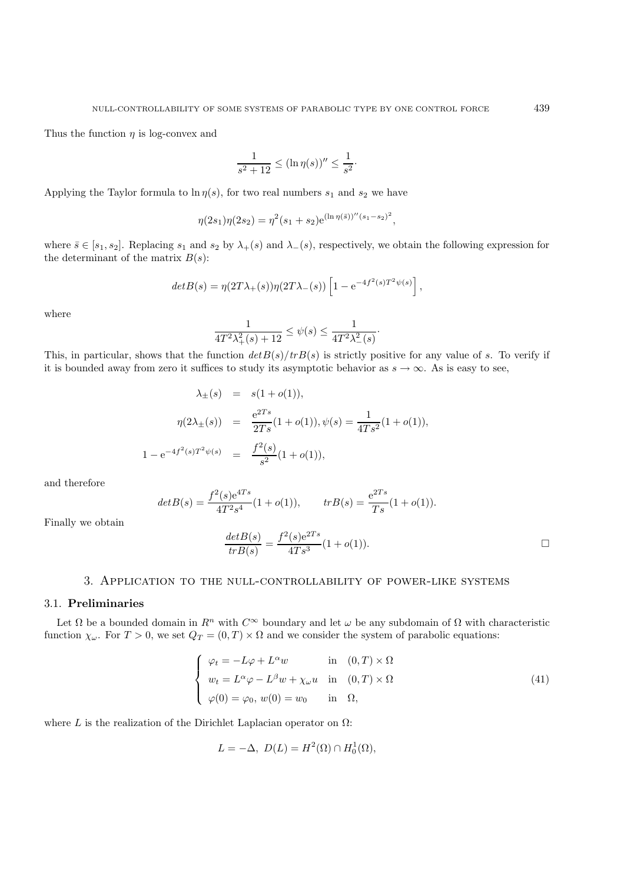Thus the function  $\eta$  is log-convex and

$$
\frac{1}{s^2 + 12} \le (\ln \eta(s))'' \le \frac{1}{s^2}.
$$

Applying the Taylor formula to  $\ln \eta(s)$ , for two real numbers  $s_1$  and  $s_2$  we have

$$
\eta(2s_1)\eta(2s_2) = \eta^2(s_1+s_2)e^{(\ln \eta(\bar{s}))''(s_1-s_2)^2},
$$

where  $\bar{s} \in [s_1, s_2]$ . Replacing  $s_1$  and  $s_2$  by  $\lambda_+(s)$  and  $\lambda_-(s)$ , respectively, we obtain the following expression for the determinant of the matrix  $B(s)$ :

$$
det B(s) = \eta(2T\lambda_+(s))\eta(2T\lambda_-(s))\left[1 - e^{-4f^2(s)T^2\psi(s)}\right],
$$

where

$$
\frac{1}{4T^2\lambda_+^2(s) + 12} \le \psi(s) \le \frac{1}{4T^2\lambda_-^2(s)}.
$$

This, in particular, shows that the function  $det B(s)/trB(s)$  is strictly positive for any value of s. To verify if it is bounded away from zero it suffices to study its asymptotic behavior as  $s \to \infty$ . As is easy to see,

$$
\lambda_{\pm}(s) = s(1 + o(1)),
$$
  
\n
$$
\eta(2\lambda_{\pm}(s)) = \frac{e^{2Ts}}{2Ts}(1 + o(1)), \psi(s) = \frac{1}{4Ts^2}(1 + o(1)),
$$
  
\n
$$
1 - e^{-4f^2(s)T^2\psi(s)} = \frac{f^2(s)}{s^2}(1 + o(1)),
$$

and therefore

$$
det B(s) = \frac{f^2(s)e^{4Ts}}{4T^2s^4}(1+o(1)), \qquad tr B(s) = \frac{e^{2Ts}}{Ts}(1+o(1)).
$$

Finally we obtain

$$
\frac{det B(s)}{tr B(s)} = \frac{f^2(s)e^{2Ts}}{4Ts^3} (1 + o(1)).
$$

### 3. Application to the null-controllability of power-like systems

#### 3.1. **Preliminaries**

Let  $\Omega$  be a bounded domain in  $R^n$  with  $C^{\infty}$  boundary and let  $\omega$  be any subdomain of  $\Omega$  with characteristic function  $\chi_{\omega}$ . For  $T > 0$ , we set  $Q_T = (0, T) \times \Omega$  and we consider the system of parabolic equations:

$$
\begin{cases}\n\varphi_t = -L\varphi + L^{\alpha}w & \text{in } (0, T) \times \Omega \\
w_t = L^{\alpha}\varphi - L^{\beta}w + \chi_{\omega}u & \text{in } (0, T) \times \Omega \\
\varphi(0) = \varphi_0, w(0) = w_0 & \text{in } \Omega,\n\end{cases}
$$
\n(41)

where L is the realization of the Dirichlet Laplacian operator on  $\Omega$ :

$$
L = -\Delta, \ D(L) = H^2(\Omega) \cap H_0^1(\Omega),
$$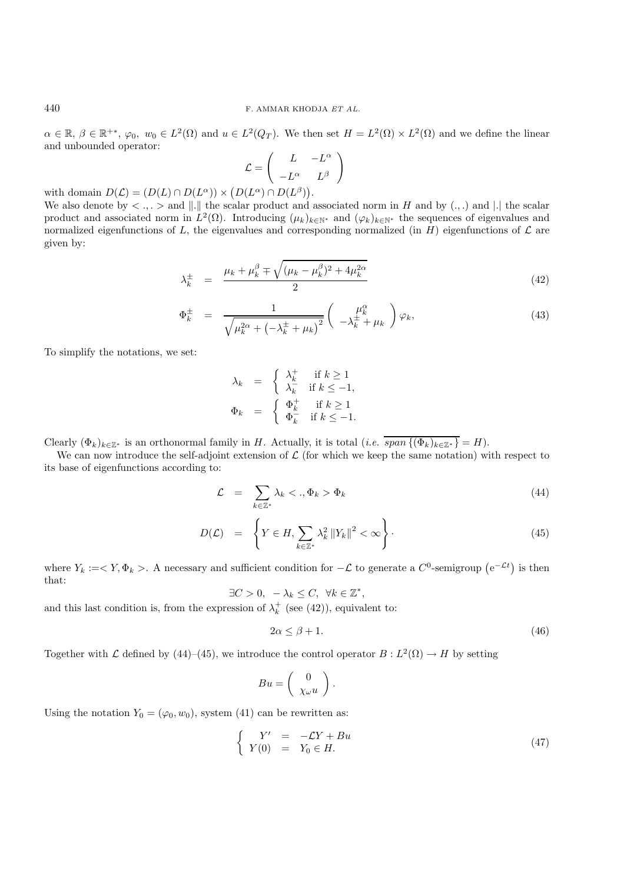$\alpha \in \mathbb{R}, \beta \in \mathbb{R}^{+*}, \varphi_0, w_0 \in L^2(\Omega)$  and  $u \in L^2(Q_T)$ . We then set  $H = L^2(\Omega) \times L^2(\Omega)$  and we define the linear and unbounded operator:

$$
\mathcal{L} = \begin{pmatrix} L & -L^{\alpha} \\ -L^{\alpha} & L^{\beta} \end{pmatrix}
$$

with domain  $D(\mathcal{L}) = (D(L) \cap D(L^{\alpha})) \times (D(L^{\alpha}) \cap D(L^{\beta})).$ 

We also denote by  $\langle \cdot, \cdot \rangle$  and  $\|.\|$  the scalar product and associated norm in H and by  $(.,.)$  and  $\|.\|$  the scalar product and associated norm in  $L^2(\Omega)$ . Introducing  $(\mu_k)_{k\in\mathbb{N}^*}$  and  $(\varphi_k)_{k\in\mathbb{N}^*}$  the sequences of eigenvalues and normalized eigenfunctions of L, the eigenvalues and corresponding normalized (in H) eigenfunctions of  $\mathcal L$  are given by:

$$
\lambda_k^{\pm} = \frac{\mu_k + \mu_k^{\beta} \mp \sqrt{(\mu_k - \mu_k^{\beta})^2 + 4\mu_k^{2\alpha}}}{2}
$$
\n(42)

$$
\Phi_k^{\pm} = \frac{1}{\sqrt{\mu_k^{2\alpha} + \left(-\lambda_k^{\pm} + \mu_k\right)^2}} \left(\begin{array}{c} \mu_k^{\alpha} \\ -\lambda_k^{\pm} + \mu_k \end{array}\right) \varphi_k,\tag{43}
$$

To simplify the notations, we set:

$$
\lambda_k = \begin{cases} \lambda_k^+ & \text{if } k \ge 1 \\ \lambda_k^- & \text{if } k \le -1, \end{cases}
$$

$$
\Phi_k = \begin{cases} \Phi_k^+ & \text{if } k \ge 1 \\ \Phi_k^- & \text{if } k \le -1. \end{cases}
$$

Clearly  $(\Phi_k)_{k\in\mathbb{Z}^*}$  is an orthonormal family in H. Actually, it is total  $(i.e.$   $\overline{span\{(\Phi_k)_{k\in\mathbb{Z}^*}\}}=H$ .

We can now introduce the self-adjoint extension of  $\mathcal L$  (for which we keep the same notation) with respect to its base of eigenfunctions according to:

$$
\mathcal{L} = \sum_{k \in \mathbb{Z}^*} \lambda_k < ., \Phi_k > \Phi_k \tag{44}
$$

$$
D(\mathcal{L}) = \left\{ Y \in H, \sum_{k \in \mathbb{Z}^*} \lambda_k^2 \|Y_k\|^2 < \infty \right\}.
$$
\n
$$
(45)
$$

where  $Y_k := \langle Y, \Phi_k \rangle$ . A necessary and sufficient condition for  $-\mathcal{L}$  to generate a  $C^0$ -semigroup  $(e^{-\mathcal{L}t})$  is then that:

$$
\exists C > 0, -\lambda_k \le C, \ \forall k \in \mathbb{Z}^*,
$$

and this last condition is, from the expression of  $\lambda_k^+$  (see (42)), equivalent to:

$$
2\alpha \le \beta + 1. \tag{46}
$$

Together with L defined by (44)–(45), we introduce the control operator  $B: L^2(\Omega) \to H$  by setting

$$
Bu = \left(\begin{array}{c} 0 \\ \chi_{\omega} u \end{array}\right).
$$

Using the notation  $Y_0 = (\varphi_0, w_0)$ , system (41) can be rewritten as:

$$
\begin{cases}\nY' &= -\mathcal{L}Y + Bu \\
Y(0) &= Y_0 \in H.\n\end{cases}\n\tag{47}
$$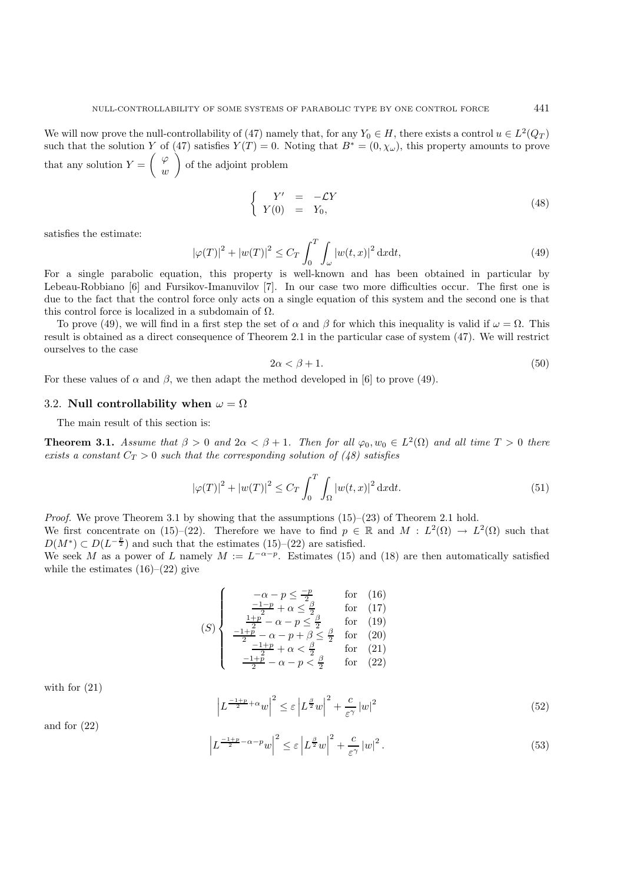We will now prove the null-controllability of (47) namely that, for any  $Y_0 \in H$ , there exists a control  $u \in L^2(Q_T)$ such that the solution Y of (47) satisfies  $Y(T) = 0$ . Noting that  $B^* = (0, \chi_\omega)$ , this property amounts to prove that any solution  $Y = \begin{pmatrix} \varphi & \cdots & \varphi \\ \vdots & \vdots & \vdots \\ \varphi & \varphi & \varphi \end{pmatrix}$ w of the adjoint problem

$$
\begin{cases}\nY' & = -\mathcal{L}Y \\
Y(0) & = Y_0,\n\end{cases} \n\tag{48}
$$

satisfies the estimate:

$$
\left|\varphi(T)\right|^2 + \left|w(T)\right|^2 \le C_T \int_0^T \int_{\omega} \left|w(t, x)\right|^2 \mathrm{d}x \mathrm{d}t,\tag{49}
$$

For a single parabolic equation, this property is well-known and has been obtained in particular by Lebeau-Robbiano [6] and Fursikov-Imanuvilov [7]. In our case two more difficulties occur. The first one is due to the fact that the control force only acts on a single equation of this system and the second one is that this control force is localized in a subdomain of  $\Omega$ .

To prove (49), we will find in a first step the set of  $\alpha$  and  $\beta$  for which this inequality is valid if  $\omega = \Omega$ . This result is obtained as a direct consequence of Theorem 2.1 in the particular case of system (47). We will restrict ourselves to the case

$$
2\alpha < \beta + 1. \tag{50}
$$

For these values of  $\alpha$  and  $\beta$ , we then adapt the method developed in [6] to prove (49).

#### 3.2. **Null controllability when**  $\omega = \Omega$

The main result of this section is:

**Theorem 3.1.** *Assume that*  $\beta > 0$  *and*  $2\alpha < \beta + 1$ *. Then for all*  $\varphi_0, w_0 \in L^2(\Omega)$  *and all time*  $T > 0$  *there exists a constant*  $C_T > 0$  *such that the corresponding solution of (48) satisfies* 

$$
\left|\varphi(T)\right|^2 + \left|w(T)\right|^2 \le C_T \int_0^T \int_{\Omega} \left|w(t,x)\right|^2 \mathrm{d}x \mathrm{d}t. \tag{51}
$$

*Proof.* We prove Theorem 3.1 by showing that the assumptions  $(15)-(23)$  of Theorem 2.1 hold.

 $\overline{\phantom{a}}$  $\overline{\phantom{a}}$  $\overline{\phantom{a}}$ 

We first concentrate on (15)–(22). Therefore we have to find  $p \in \mathbb{R}$  and  $M : L^2(\Omega) \to L^2(\Omega)$  such that  $D(M^*) \subset D(L^{-\frac{p}{2}})$  and such that the estimates (15)–(22) are satisfied.

We seek M as a power of L namely  $M := L^{-\alpha-p}$ . Estimates (15) and (18) are then automatically satisfied while the estimates  $(16)$ – $(22)$  give

$$
(S) \begin{cases}\n-\alpha - p \le \frac{-p}{2} & \text{for} \quad (16) \\
\frac{-1-p}{2} + \alpha \le \frac{\beta}{2} & \text{for} \quad (17) \\
\frac{1+p}{2} - \alpha - p \le \frac{\beta}{2} & \text{for} \quad (19) \\
\frac{-1+p}{2} - \alpha - p + \beta \le \frac{\beta}{2} & \text{for} \quad (20) \\
\frac{-1+p}{2} + \alpha < \frac{\beta}{2} & \text{for} \quad (21) \\
\frac{-1+p}{2} - \alpha - p < \frac{\beta}{2} & \text{for} \quad (22)\n\end{cases}
$$

with for (21)

$$
\left| L^{\frac{-1+p}{2}+\alpha}w \right|^2 \le \varepsilon \left| L^{\frac{\beta}{2}}w \right|^2 + \frac{c}{\varepsilon^{\gamma}} \left| w \right|^2 \tag{52}
$$

and for 
$$
(22)
$$

$$
L^{\frac{-1+p}{2}-\alpha-p}w\Big|^2 \le \varepsilon \left|L^{\frac{\beta}{2}}w\right|^2 + \frac{c}{\varepsilon^{\gamma}}\left|w\right|^2. \tag{53}
$$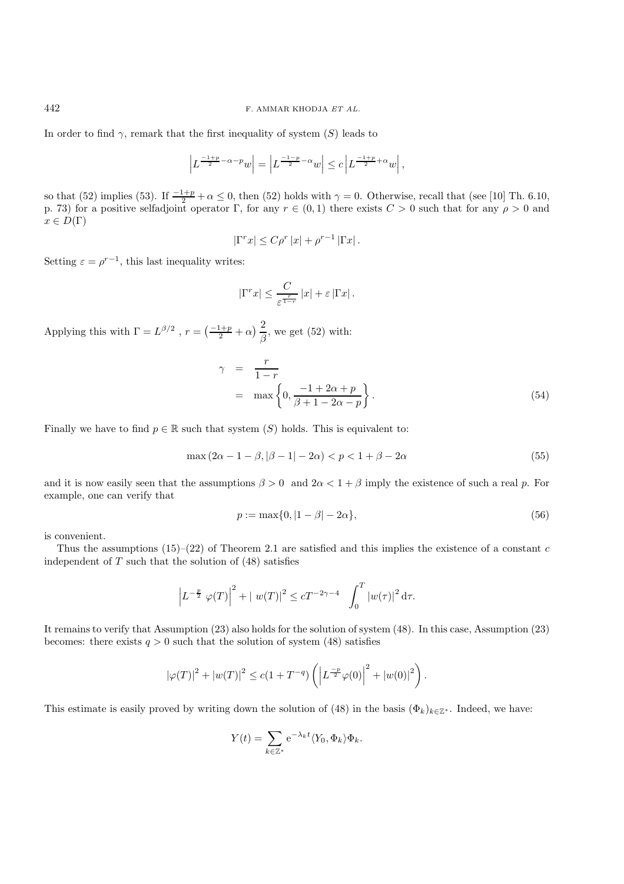In order to find  $\gamma$ , remark that the first inequality of system  $(S)$  leads to

$$
\left| L^{\frac{-1+p}{2}-\alpha-p}w\right|=\left| L^{\frac{-1-p}{2}-\alpha}w\right|\leq c\left| L^{\frac{-1+p}{2}+\alpha}w\right|,
$$

so that (52) implies (53). If  $\frac{-1+p}{2} + \alpha \le 0$ , then (52) holds with  $\gamma = 0$ . Otherwise, recall that (see [10] Th. 6.10, p. 73) for a positive selfadjoint operator Γ, for any  $r \in (0,1)$  there exists  $C > 0$  such that for any  $\rho > 0$  and  $x \in D(\Gamma)$ 

$$
|\Gamma^r x| \le C\rho^r |x| + \rho^{r-1} |\Gamma x|.
$$

Setting  $\varepsilon = \rho^{r-1}$ , this last inequality writes:

$$
|\Gamma^r x| \leq \frac{C}{\varepsilon^{\frac{r}{1-r}}}|x| + \varepsilon |\Gamma x|.
$$

Applying this with  $\Gamma = L^{\beta/2}$ ,  $r = \left(\frac{-1+p}{2} + \alpha\right) \frac{2}{\beta}$ , we get (52) with:

$$
\gamma = \frac{r}{1-r}
$$
  
=  $\max \left\{ 0, \frac{-1+2\alpha+p}{\beta+1-2\alpha-p} \right\}.$  (54)

Finally we have to find  $p \in \mathbb{R}$  such that system  $(S)$  holds. This is equivalent to:

$$
\max(2\alpha - 1 - \beta, |\beta - 1| - 2\alpha) < p < 1 + \beta - 2\alpha \tag{55}
$$

and it is now easily seen that the assumptions  $\beta > 0$  and  $2\alpha < 1 + \beta$  imply the existence of such a real p. For example, one can verify that

$$
p := \max\{0, |1 - \beta| - 2\alpha\},\tag{56}
$$

is convenient.

Thus the assumptions  $(15)-(22)$  of Theorem 2.1 are satisfied and this implies the existence of a constant c independent of  $T$  such that the solution of  $(48)$  satisfies

$$
\left| L^{-\frac{p}{2}} \varphi(T) \right|^2 + | w(T) |^2 \le c T^{-2\gamma - 4} \int_0^T |w(\tau)|^2 d\tau.
$$

It remains to verify that Assumption (23) also holds for the solution of system (48). In this case, Assumption (23) becomes: there exists  $q > 0$  such that the solution of system (48) satisfies

$$
|\varphi(T)|^2 + |w(T)|^2 \le c(1 + T^{-q}) \left( \left| L^{\frac{-p}{2}} \varphi(0) \right|^2 + |w(0)|^2 \right).
$$

This estimate is easily proved by writing down the solution of (48) in the basis  $(\Phi_k)_{k\in\mathbb{Z}^*}$ . Indeed, we have:

$$
Y(t) = \sum_{k \in \mathbb{Z}^*} e^{-\lambda_k t} \langle Y_0, \Phi_k \rangle \Phi_k.
$$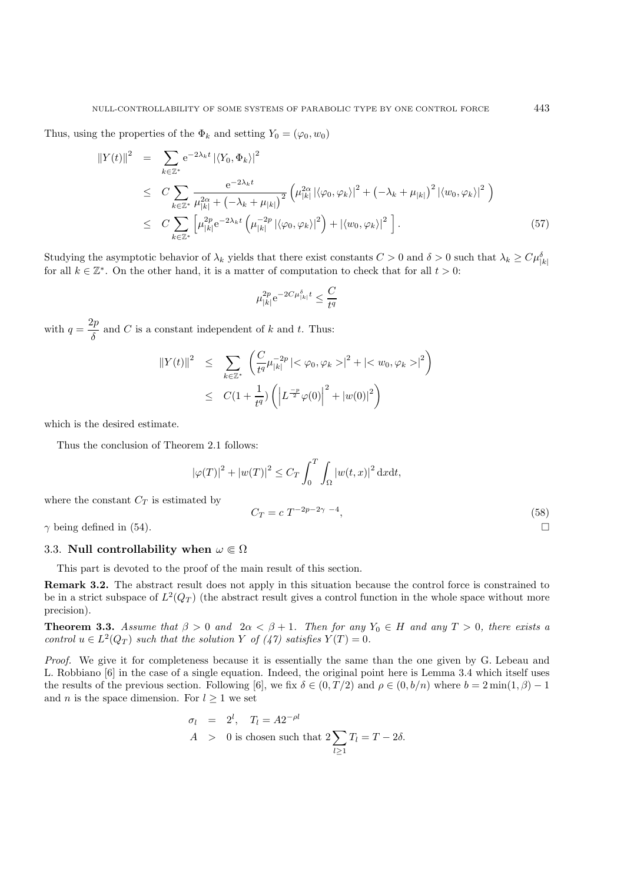Thus, using the properties of the  $\Phi_k$  and setting  $Y_0 = (\varphi_0, w_0)$ 

$$
\|Y(t)\|^2 = \sum_{k \in \mathbb{Z}^*} e^{-2\lambda_k t} |\langle Y_0, \Phi_k \rangle|^2
$$
  
\n
$$
\leq C \sum_{k \in \mathbb{Z}^*} \frac{e^{-2\lambda_k t}}{\mu_{|k|}^{2\alpha} + (-\lambda_k + \mu_{|k|})^2} \left( \mu_{|k|}^{2\alpha} |\langle \varphi_0, \varphi_k \rangle|^2 + (-\lambda_k + \mu_{|k|})^2 |\langle w_0, \varphi_k \rangle|^2 \right)
$$
  
\n
$$
\leq C \sum_{k \in \mathbb{Z}^*} \left[ \mu_{|k|}^{2p} e^{-2\lambda_k t} \left( \mu_{|k|}^{-2p} |\langle \varphi_0, \varphi_k \rangle|^2 \right) + |\langle w_0, \varphi_k \rangle|^2 \right]. \tag{57}
$$

Studying the asymptotic behavior of  $\lambda_k$  yields that there exist constants  $C > 0$  and  $\delta > 0$  such that  $\lambda_k \ge C\mu_{|k|}^{\delta}$ for all  $k \in \mathbb{Z}^*$ . On the other hand, it is a matter of computation to check that for all  $t > 0$ :

$$
\mu_{|k|}^{2p} e^{-2C\mu_{|k|}^{\delta}t} \le \frac{C}{t^q}
$$

with  $q = \frac{2p}{\delta}$  and C is a constant independent of k and t. Thus:

$$
\begin{array}{rcl} \left\|Y(t)\right\|^2 & \leq & \displaystyle\sum_{k\in\mathbb{Z}^*} \left(\frac{C}{t^q} \mu_{|k|}^{-2p} \left|<\varphi_0, \varphi_k>\right|^2 + \left|\right|^2\right) \\ & \leq & C\big(1+\frac{1}{t^q}\big) \left(\left|L^{\frac{-p}{2}}\varphi(0)\right|^2 + \left|w(0)\right|^2\right) \end{array}
$$

which is the desired estimate.

Thus the conclusion of Theorem 2.1 follows:

$$
|\varphi(T)|^2 + |w(T)|^2 \le C_T \int_0^T \int_{\Omega} |w(t,x)|^2 dxdt,
$$
  
where the constant  $C_T$  is estimated by  

$$
C_T = c T^{-2p-2\gamma - 4},
$$
 (58)

 $\gamma$  being defined in (54).

# 3.3. **Null controllability when**  $\omega \in \Omega$

This part is devoted to the proof of the main result of this section.

**Remark 3.2.** The abstract result does not apply in this situation because the control force is constrained to be in a strict subspace of  $L^2(Q_T)$  (the abstract result gives a control function in the whole space without more precision).

**Theorem 3.3.** *Assume that*  $\beta > 0$  *and*  $2\alpha < \beta + 1$ *. Then for any*  $Y_0 \in H$  *and any*  $T > 0$ *, there exists a control*  $u \in L^2(Q_T)$  *such that the solution* Y *of*  $(47)$  *satisfies*  $Y(T) = 0$ *.* 

*Proof.* We give it for completeness because it is essentially the same than the one given by G. Lebeau and L. Robbiano [6] in the case of a single equation. Indeed, the original point here is Lemma 3.4 which itself uses the results of the previous section. Following [6], we fix  $\delta \in (0, T/2)$  and  $\rho \in (0, b/n)$  where  $b = 2 \min(1, \beta) - 1$ and *n* is the space dimension. For  $l \geq 1$  we set

$$
\sigma_l = 2^l, \quad T_l = A 2^{-\rho l}
$$
  
 
$$
A > 0 \text{ is chosen such that } 2 \sum_{l \ge 1} T_l = T - 2\delta.
$$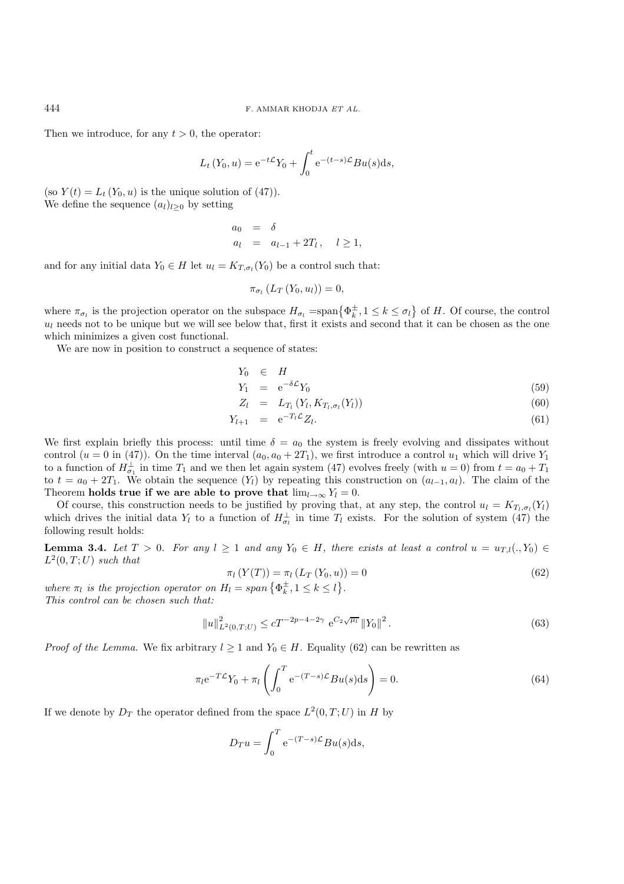Then we introduce, for any  $t > 0$ , the operator:

$$
L_t(Y_0, u) = e^{-t\mathcal{L}} Y_0 + \int_0^t e^{-(t-s)\mathcal{L}} Bu(s) ds,
$$

(so  $Y(t) = L_t(Y_0, u)$  is the unique solution of (47)). We define the sequence  $(a_l)_{l>0}$  by setting

$$
\begin{array}{rcl}\na_0 & = & \delta \\
a_l & = & a_{l-1} + 2T_l \,, \quad l \ge 1,\n\end{array}
$$

and for any initial data  $Y_0 \in H$  let  $u_l = K_{T,\sigma_l}(Y_0)$  be a control such that:

$$
\pi_{\sigma_l}(L_T(Y_0, u_l)) = 0,
$$

where  $\pi_{\sigma_l}$  is the projection operator on the subspace  $H_{\sigma_l} = \text{span} \{ \Phi_k^{\pm}, 1 \leq k \leq \sigma_l \}$  of H. Of course, the control  $u_l$  needs not to be unique but we will see below that, first it exists and second that it can be chosen as the one which minimizes a given cost functional.

We are now in position to construct a sequence of states:

$$
Y_0 \quad \in \quad H
$$

$$
Y_1 = e^{-\delta \mathcal{L}} Y_0 \tag{59}
$$
\n
$$
Z_1 = L_T \left( Y_1 K_T \right) \tag{60}
$$

$$
Z_l = L_{T_l} (Y_l, \Lambda_{T_l, \sigma_l}(Y_l)) \tag{00}
$$

$$
Y_{l+1} = e^{-T_l \mathcal{L}} Z_l. \tag{61}
$$

We first explain briefly this process: until time  $\delta = a_0$  the system is freely evolving and dissipates without control (u = 0 in (47)). On the time interval  $(a_0, a_0 + 2T_1)$ , we first introduce a control  $u_1$  which will drive  $Y_1$ to a function of  $H_{\sigma_1}^{\perp}$  in time  $T_1$  and we then let again system (47) evolves freely (with  $u = 0$ ) from  $t = a_0 + T_1$ to  $t = a_0 + 2T_1$ . We obtain the sequence  $(Y_l)$  by repeating this construction on  $(a_{l-1}, a_l)$ . The claim of the Theorem **holds true if we are able to prove that**  $\lim_{l\to\infty} Y_l = 0$ .

Of course, this construction needs to be justified by proving that, at any step, the control  $u_l = K_{T_l,\sigma_l}(Y_l)$ which drives the initial data  $Y_l$  to a function of  $H_{\sigma_l}^{\perp}$  in time  $T_l$  exists. For the solution of system (47) the following result holds:

**Lemma 3.4.** *Let*  $T > 0$ *. For any*  $l \geq 1$  *and any*  $Y_0 \in H$ *, there exists at least a control*  $u = u_{T,l}(., Y_0) \in$  $L^2(0,T;U)$  *such that* 

$$
\pi_l(Y(T)) = \pi_l(L_T(Y_0, u)) = 0
$$
\n(62)

where  $\pi_l$  is the projection operator on  $H_l = span\{\Phi_k^{\pm}, 1 \leq k \leq l\}.$ *This control can be chosen such that:*

$$
||u||_{L^{2}(0,T;U)}^{2} \le cT^{-2p-4-2\gamma} e^{C_{2}\sqrt{\mu_{l}}} ||Y_{0}||^{2}.
$$
\n(63)

*Proof of the Lemma.* We fix arbitrary  $l \geq 1$  and  $Y_0 \in H$ . Equality (62) can be rewritten as

$$
\pi_l e^{-T\mathcal{L}} Y_0 + \pi_l \left( \int_0^T e^{-(T-s)\mathcal{L}} B u(s) \mathrm{d}s \right) = 0. \tag{64}
$$

If we denote by  $D_T$  the operator defined from the space  $L^2(0,T;U)$  in H by

$$
D_T u = \int_0^T e^{-(T-s)\mathcal{L}} Bu(s) ds,
$$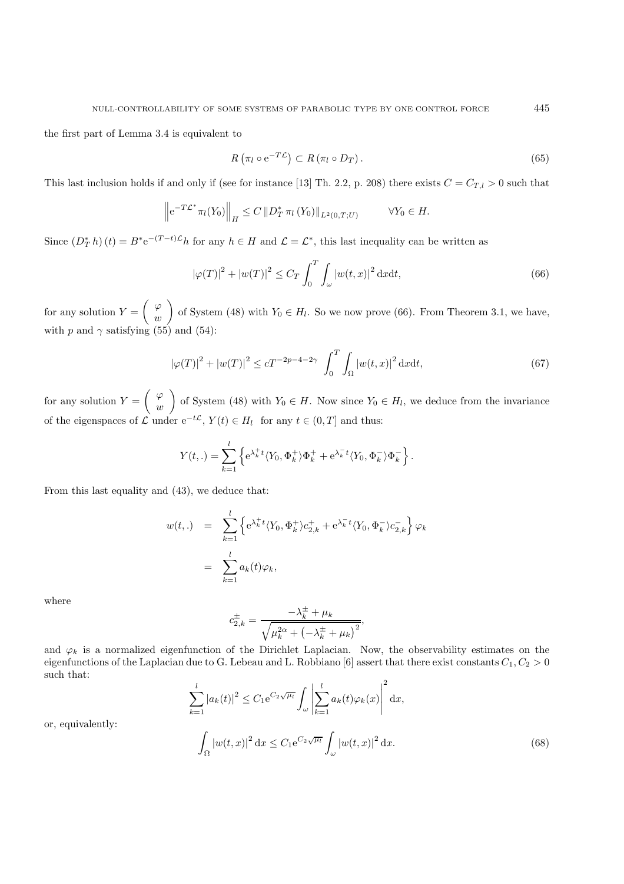the first part of Lemma 3.4 is equivalent to

$$
R\left(\pi_l \circ \mathrm{e}^{-T\mathcal{L}}\right) \subset R\left(\pi_l \circ D_T\right). \tag{65}
$$

This last inclusion holds if and only if (see for instance [13] Th. 2.2, p. 208) there exists  $C = C_{T,l} > 0$  such that

$$
\left\|e^{-T\mathcal{L}^*}\pi_l(Y_0)\right\|_H \leq C\left\|D_T^*\pi_l(Y_0)\right\|_{L^2(0,T;U)} \qquad \forall Y_0 \in H.
$$

Since  $(D^*_T h)(t) = B^* e^{-(T-t)\mathcal{L}} h$  for any  $h \in H$  and  $\mathcal{L} = \mathcal{L}^*$ , this last inequality can be written as

$$
\left|\varphi(T)\right|^2 + \left|w(T)\right|^2 \le C_T \int_0^T \int_{\omega} \left|w(t, x)\right|^2 \mathrm{d}x \mathrm{d}t,\tag{66}
$$

for any solution  $Y = \begin{pmatrix} \varphi & \cdots & \varphi \\ \vdots & \vdots & \vdots \\ \varphi & \cdots & \varphi \end{pmatrix}$  $\omega$ of System (48) with  $Y_0 \in H_l$ . So we now prove (66). From Theorem 3.1, we have, with p and  $\gamma$  satisfying (55) and (54):

$$
|\varphi(T)|^2 + |w(T)|^2 \le cT^{-2p-4-2\gamma} \int_0^T \int_{\Omega} |w(t,x)|^2 \, \mathrm{d}x \mathrm{d}t,\tag{67}
$$

for any solution  $Y = \begin{pmatrix} \varphi & \cdots & \varphi \\ \vdots & \vdots & \vdots \\ \varphi & \cdots & \varphi \end{pmatrix}$  $\omega$ of System (48) with  $Y_0 \in H$ . Now since  $Y_0 \in H_l$ , we deduce from the invariance of the eigenspaces of  $\mathcal L$  under  $e^{-t\mathcal L}$ ,  $Y(t) \in H_l$  for any  $t \in (0,T]$  and thus:

$$
Y(t,.) = \sum_{k=1}^{l} \left\{ e^{\lambda_k^+ t} \langle Y_0, \Phi_k^+ \rangle \Phi_k^+ + e^{\lambda_k^- t} \langle Y_0, \Phi_k^- \rangle \Phi_k^- \right\}.
$$

From this last equality and (43), we deduce that:

$$
w(t,.) = \sum_{k=1}^{l} \left\{ e^{\lambda_k^+ t} \langle Y_0, \Phi_k^+ \rangle c_{2,k}^+ + e^{\lambda_k^- t} \langle Y_0, \Phi_k^- \rangle c_{2,k}^- \right\} \varphi_k
$$

$$
= \sum_{k=1}^{l} a_k(t) \varphi_k,
$$

where

$$
c_{2,k}^{\pm} = \frac{-\lambda_k^{\pm} + \mu_k}{\sqrt{\mu_k^{2\alpha} + \left(-\lambda_k^{\pm} + \mu_k\right)^2}},
$$

and  $\varphi_k$  is a normalized eigenfunction of the Dirichlet Laplacian. Now, the observability estimates on the eigenfunctions of the Laplacian due to G. Lebeau and L. Robbiano [6] assert that there exist constants  $C_1, C_2 > 0$ such that:

$$
\sum_{k=1}^l |a_k(t)|^2 \le C_1 e^{C_2 \sqrt{\mu_l}} \int_{\omega} \left| \sum_{k=1}^l a_k(t) \varphi_k(x) \right|^2 dx,
$$

or, equivalently:

$$
\int_{\Omega} \left| w(t,x) \right|^2 \mathrm{d}x \le C_1 e^{C_2 \sqrt{\mu_t}} \int_{\omega} \left| w(t,x) \right|^2 \mathrm{d}x. \tag{68}
$$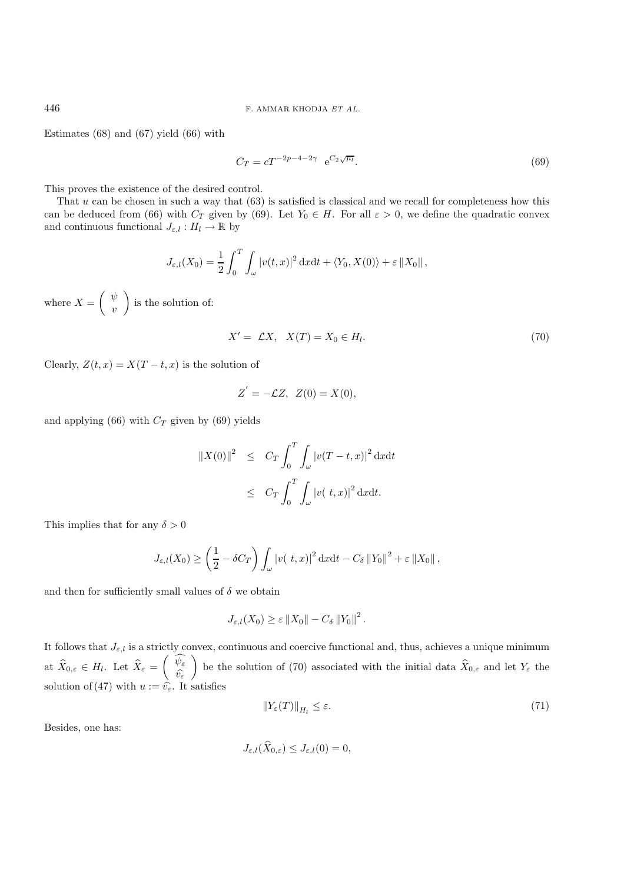Estimates (68) and (67) yield (66) with

$$
C_T = cT^{-2p-4-2\gamma} e^{C_2 \sqrt{\mu_l}}.
$$
\n(69)

This proves the existence of the desired control.

That  $u$  can be chosen in such a way that  $(63)$  is satisfied is classical and we recall for completeness how this can be deduced from (66) with  $C_T$  given by (69). Let  $Y_0 \in H$ . For all  $\varepsilon > 0$ , we define the quadratic convex and continuous functional  $J_{\varepsilon,l} : H_l \to \mathbb{R}$  by

$$
J_{\varepsilon,l}(X_0) = \frac{1}{2} \int_0^T \int_{\omega} |v(t,x)|^2 \, \mathrm{d}x \mathrm{d}t + \langle Y_0, X(0) \rangle + \varepsilon \|X_0\|,
$$

where  $X = \begin{pmatrix} \psi & \psi \\ \psi & \psi & \psi \end{pmatrix}$  $\overline{v}$  $\Big)$  is the solution of:

$$
X' = \mathcal{L}X, \quad X(T) = X_0 \in H_l. \tag{70}
$$

Clearly,  $Z(t, x) = X(T - t, x)$  is the solution of

$$
Z' = -\mathcal{L}Z, \ Z(0) = X(0),
$$

and applying (66) with  $C_T$  given by (69) yields

$$
||X(0)||^2 \leq C_T \int_0^T \int_{\omega} |v(T - t, x)|^2 dx dt
$$
  

$$
\leq C_T \int_0^T \int_{\omega} |v(t, x)|^2 dx dt.
$$

This implies that for any  $\delta > 0$ 

$$
J_{\varepsilon,l}(X_0) \geq \left(\frac{1}{2} - \delta C_T\right) \int_{\omega} \left|v(\ t,x)\right|^2 \mathrm{d}x \mathrm{d}t - C_{\delta} \left\|Y_0\right\|^2 + \varepsilon \left\|X_0\right\|,
$$

and then for sufficiently small values of  $\delta$  we obtain

$$
J_{\varepsilon,l}(X_0) \geq \varepsilon ||X_0|| - C_{\delta} ||Y_0||^2.
$$

It follows that  $J_{\varepsilon,l}$  is a strictly convex, continuous and coercive functional and, thus, achieves a unique minimum at  $\widehat{X}_{0,\varepsilon} \in H_l$ . Let  $\widehat{X}_{\varepsilon} = \begin{pmatrix} \widehat{\psi_{\varepsilon}} & \cdots & \widehat{\psi_{\varepsilon}} & \cdots & \widehat{\psi_{\varepsilon}} \end{pmatrix}$  $\widehat{v_{\varepsilon}}$ ) be the solution of (70) associated with the initial data  $\widehat{X}_{0,\varepsilon}$  and let  $Y_{\varepsilon}$  the solution of (47) with  $u := \hat{v}_{\varepsilon}$ . It satisfies

$$
\|Y_{\varepsilon}(T)\|_{H_l} \le \varepsilon. \tag{71}
$$

Besides, one has:

$$
J_{\varepsilon,l}(\widehat{X}_{0,\varepsilon}) \leq J_{\varepsilon,l}(0) = 0,
$$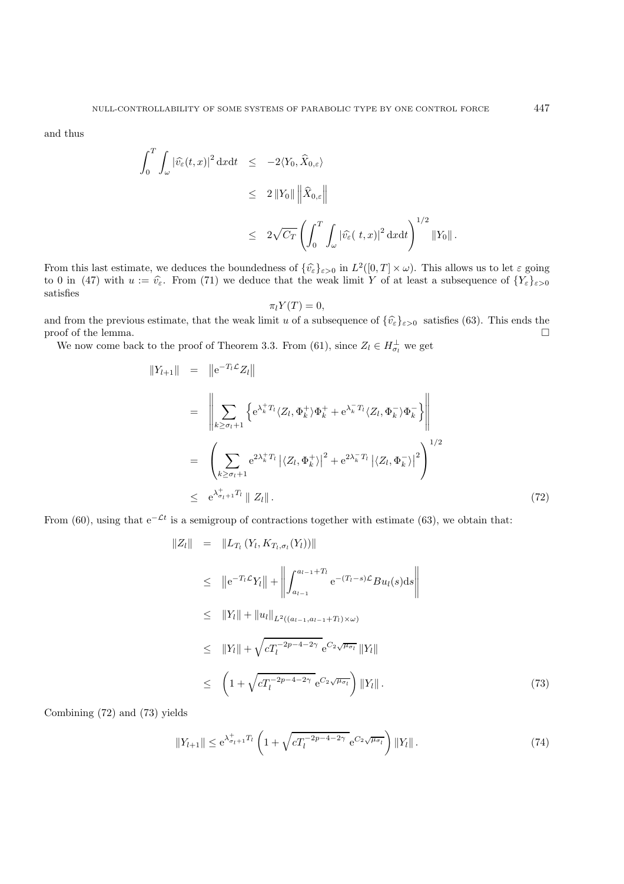and thus

$$
\int_0^T \int_{\omega} |\hat{v_{\varepsilon}}(t,x)|^2 dxdt \le -2\langle Y_0, \widehat{X}_{0,\varepsilon} \rangle
$$
  
\n
$$
\le 2 ||Y_0|| \left\| \widehat{X}_{0,\varepsilon} \right\|
$$
  
\n
$$
\le 2\sqrt{C_T} \left( \int_0^T \int_{\omega} |\widehat{v_{\varepsilon}}(t,x)|^2 dxdt \right)^{1/2} ||Y_0||.
$$

From this last estimate, we deduces the boundedness of  $\{\hat{v}_{\varepsilon}\}_{{\varepsilon}>0}$  in  $L^2([0,T] \times \omega)$ . This allows us to let  ${\varepsilon}$  going to 0 in (47) with  $u := \hat{v}_{\varepsilon}$ . From (71) we deduce that the weak limit Y of at least a subsequence of  $\{Y_{\varepsilon}\}_{\varepsilon>0}$ satisfies

$$
\pi_l Y(T) = 0,
$$

and from the previous estimate, that the weak limit u of a subsequence of  $\{\hat{v}_{\varepsilon}\}_{{\varepsilon}>0}$  satisfies (63). This ends the proof of the lemma. proof of the lemma.

We now come back to the proof of Theorem 3.3. From (61), since  $Z_l \in H_{\sigma_l}^{\perp}$  we get

$$
||Y_{l+1}|| = ||e^{-T_{l}\mathcal{L}}Z_{l}||
$$
  
\n
$$
= \left\| \sum_{k \geq \sigma_{l}+1} \left\{ e^{\lambda_{k}^{+}T_{l}} \langle Z_{l}, \Phi_{k}^{+} \rangle \Phi_{k}^{+} + e^{\lambda_{k}^{-}T_{l}} \langle Z_{l}, \Phi_{k}^{-} \rangle \Phi_{k}^{-} \right\} \right\|
$$
  
\n
$$
= \left( \sum_{k \geq \sigma_{l}+1} e^{2\lambda_{k}^{+}T_{l}} \left| \langle Z_{l}, \Phi_{k}^{+} \rangle \right|^{2} + e^{2\lambda_{k}^{-}T_{l}} \left| \langle Z_{l}, \Phi_{k}^{-} \rangle \right|^{2} \right)^{1/2}
$$
  
\n
$$
\leq e^{\lambda_{\sigma_{l}+1}^{+}T_{l}} || Z_{l} ||.
$$
 (72)

From (60), using that  $e^{-\mathcal{L}t}$  is a semigroup of contractions together with estimate (63), we obtain that:

$$
||Z_{l}|| = ||L_{T_{l}}(Y_{l}, K_{T_{l}, \sigma_{l}}(Y_{l}))||
$$
  
\n
$$
\leq ||e^{-T_{l}\mathcal{L}}Y_{l}|| + ||\int_{a_{l-1}}^{a_{l-1}+T_{l}} e^{-(T_{l}-s)\mathcal{L}}Bu_{l}(s)ds||
$$
  
\n
$$
\leq ||Y_{l}|| + ||u_{l}||_{L^{2}((a_{l-1}, a_{l-1}+T_{l})\times\omega)}
$$
  
\n
$$
\leq ||Y_{l}|| + \sqrt{cT_{l}^{-2p-4-2\gamma}} e^{C_{2}\sqrt{\mu_{\sigma_{l}}}} ||Y_{l}||
$$
  
\n
$$
\leq (1 + \sqrt{cT_{l}^{-2p-4-2\gamma}} e^{C_{2}\sqrt{\mu_{\sigma_{l}}}}) ||Y_{l}||.
$$
\n(73)

Combining (72) and (73) yields

$$
||Y_{l+1}|| \le e^{\lambda_{\sigma_{l+1}}^+ T_l} \left( 1 + \sqrt{c T_l^{-2p-4-2\gamma}} \, e^{C_2 \sqrt{\mu_{\sigma_l}}} \right) ||Y_l||. \tag{74}
$$